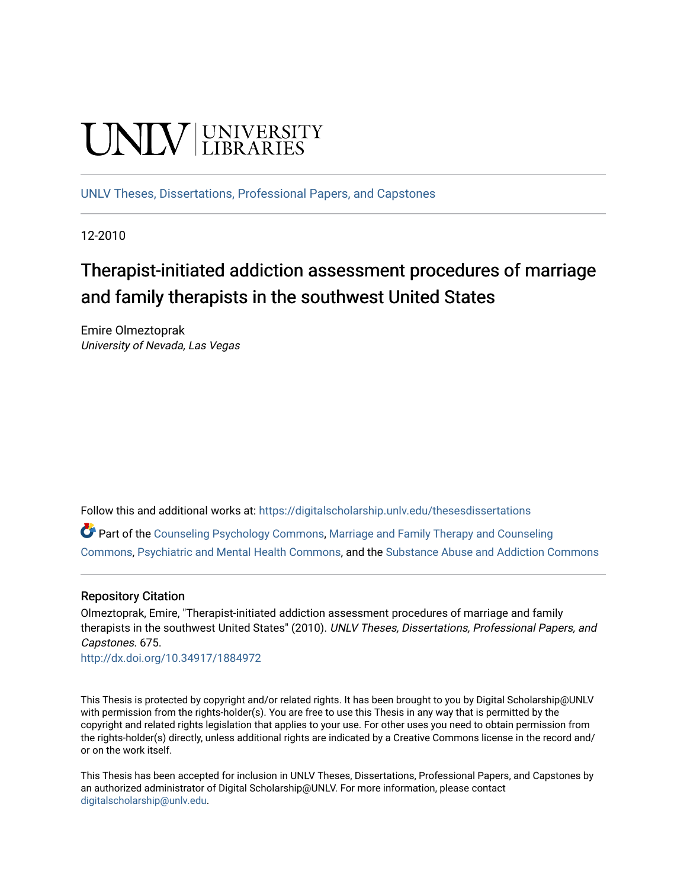# **UNIVERSITY**

[UNLV Theses, Dissertations, Professional Papers, and Capstones](https://digitalscholarship.unlv.edu/thesesdissertations)

12-2010

# Therapist-initiated addiction assessment procedures of marriage and family therapists in the southwest United States

Emire Olmeztoprak University of Nevada, Las Vegas

Follow this and additional works at: [https://digitalscholarship.unlv.edu/thesesdissertations](https://digitalscholarship.unlv.edu/thesesdissertations?utm_source=digitalscholarship.unlv.edu%2Fthesesdissertations%2F675&utm_medium=PDF&utm_campaign=PDFCoverPages)

Part of the [Counseling Psychology Commons](http://network.bepress.com/hgg/discipline/1044?utm_source=digitalscholarship.unlv.edu%2Fthesesdissertations%2F675&utm_medium=PDF&utm_campaign=PDFCoverPages), [Marriage and Family Therapy and Counseling](http://network.bepress.com/hgg/discipline/715?utm_source=digitalscholarship.unlv.edu%2Fthesesdissertations%2F675&utm_medium=PDF&utm_campaign=PDFCoverPages) [Commons](http://network.bepress.com/hgg/discipline/715?utm_source=digitalscholarship.unlv.edu%2Fthesesdissertations%2F675&utm_medium=PDF&utm_campaign=PDFCoverPages), [Psychiatric and Mental Health Commons,](http://network.bepress.com/hgg/discipline/711?utm_source=digitalscholarship.unlv.edu%2Fthesesdissertations%2F675&utm_medium=PDF&utm_campaign=PDFCoverPages) and the [Substance Abuse and Addiction Commons](http://network.bepress.com/hgg/discipline/710?utm_source=digitalscholarship.unlv.edu%2Fthesesdissertations%2F675&utm_medium=PDF&utm_campaign=PDFCoverPages) 

# Repository Citation

Olmeztoprak, Emire, "Therapist-initiated addiction assessment procedures of marriage and family therapists in the southwest United States" (2010). UNLV Theses, Dissertations, Professional Papers, and Capstones. 675.

<http://dx.doi.org/10.34917/1884972>

This Thesis is protected by copyright and/or related rights. It has been brought to you by Digital Scholarship@UNLV with permission from the rights-holder(s). You are free to use this Thesis in any way that is permitted by the copyright and related rights legislation that applies to your use. For other uses you need to obtain permission from the rights-holder(s) directly, unless additional rights are indicated by a Creative Commons license in the record and/ or on the work itself.

This Thesis has been accepted for inclusion in UNLV Theses, Dissertations, Professional Papers, and Capstones by an authorized administrator of Digital Scholarship@UNLV. For more information, please contact [digitalscholarship@unlv.edu](mailto:digitalscholarship@unlv.edu).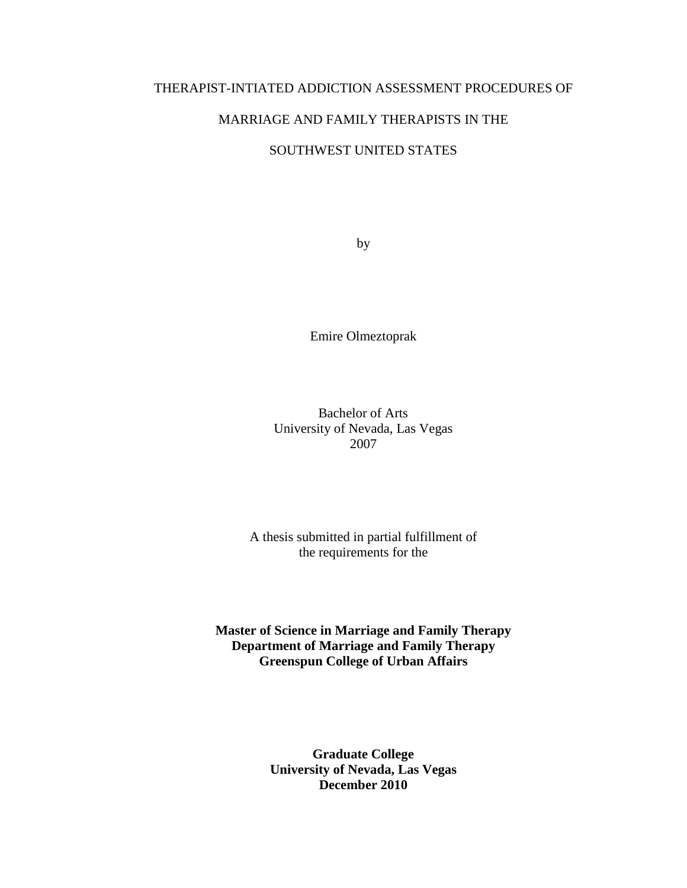# THERAPIST-INTIATED ADDICTION ASSESSMENT PROCEDURES OF

# MARRIAGE AND FAMILY THERAPISTS IN THE

# SOUTHWEST UNITED STATES

by

Emire Olmeztoprak

Bachelor of Arts University of Nevada, Las Vegas 2007

A thesis submitted in partial fulfillment of the requirements for the

**Master of Science in Marriage and Family Therapy Department of Marriage and Family Therapy Greenspun College of Urban Affairs** 

> **Graduate College University of Nevada, Las Vegas December 2010**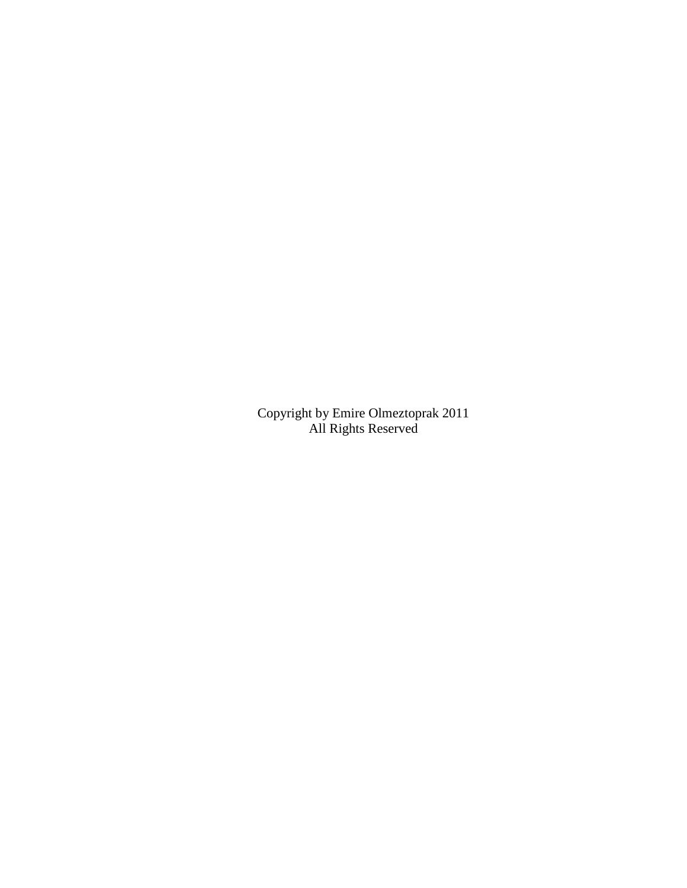Copyright by Emire Olmeztoprak 2011 All Rights Reserved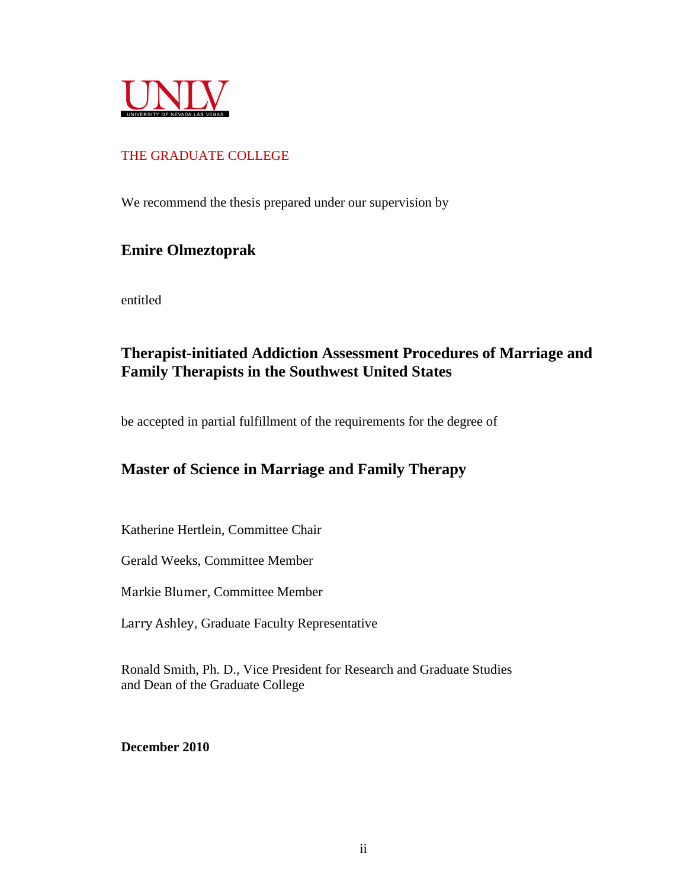

# THE GRADUATE COLLEGE

We recommend the thesis prepared under our supervision by

# **Emire Olmeztoprak**

entitled

# **Therapist-initiated Addiction Assessment Procedures of Marriage and Family Therapists in the Southwest United States**

be accepted in partial fulfillment of the requirements for the degree of

# **Master of Science in Marriage and Family Therapy**

Katherine Hertlein, Committee Chair

Gerald Weeks, Committee Member

Markie Blumer, Committee Member

Larry Ashley, Graduate Faculty Representative

Ronald Smith, Ph. D., Vice President for Research and Graduate Studies and Dean of the Graduate College

**December 2010**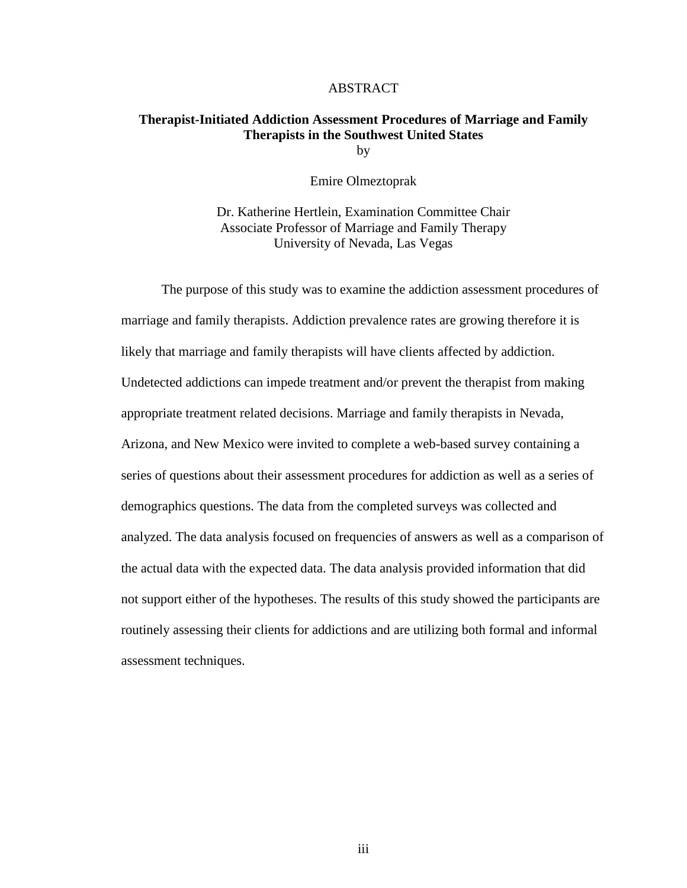#### ABSTRACT

# **Therapist-Initiated Addiction Assessment Procedures of Marriage and Family Therapists in the Southwest United States**

by

Emire Olmeztoprak

Dr. Katherine Hertlein, Examination Committee Chair Associate Professor of Marriage and Family Therapy University of Nevada, Las Vegas

The purpose of this study was to examine the addiction assessment procedures of marriage and family therapists. Addiction prevalence rates are growing therefore it is likely that marriage and family therapists will have clients affected by addiction. Undetected addictions can impede treatment and/or prevent the therapist from making appropriate treatment related decisions. Marriage and family therapists in Nevada, Arizona, and New Mexico were invited to complete a web-based survey containing a series of questions about their assessment procedures for addiction as well as a series of demographics questions. The data from the completed surveys was collected and analyzed. The data analysis focused on frequencies of answers as well as a comparison of the actual data with the expected data. The data analysis provided information that did not support either of the hypotheses. The results of this study showed the participants are routinely assessing their clients for addictions and are utilizing both formal and informal assessment techniques.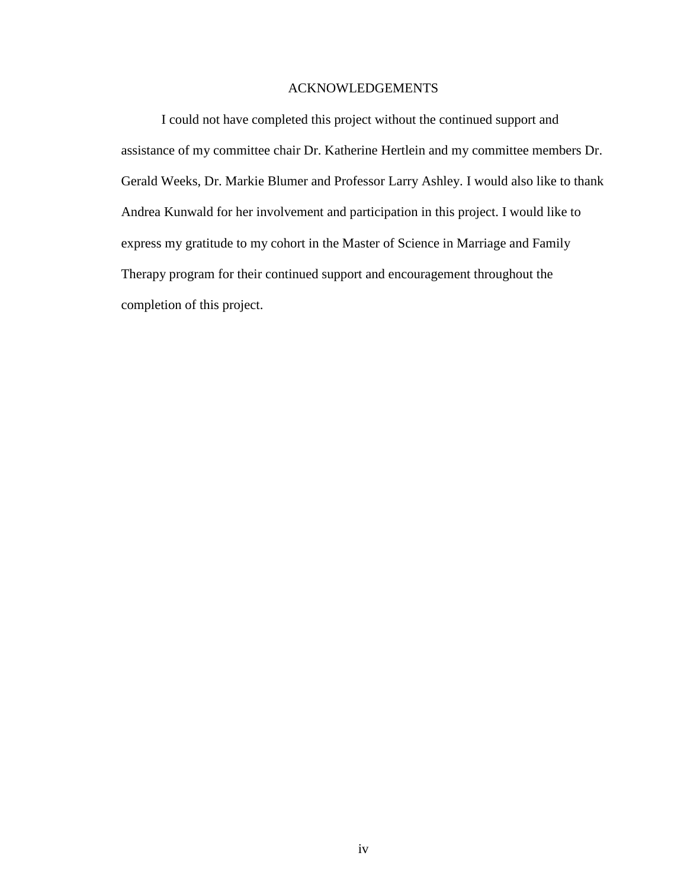# ACKNOWLEDGEMENTS

I could not have completed this project without the continued support and assistance of my committee chair Dr. Katherine Hertlein and my committee members Dr. Gerald Weeks, Dr. Markie Blumer and Professor Larry Ashley. I would also like to thank Andrea Kunwald for her involvement and participation in this project. I would like to express my gratitude to my cohort in the Master of Science in Marriage and Family Therapy program for their continued support and encouragement throughout the completion of this project.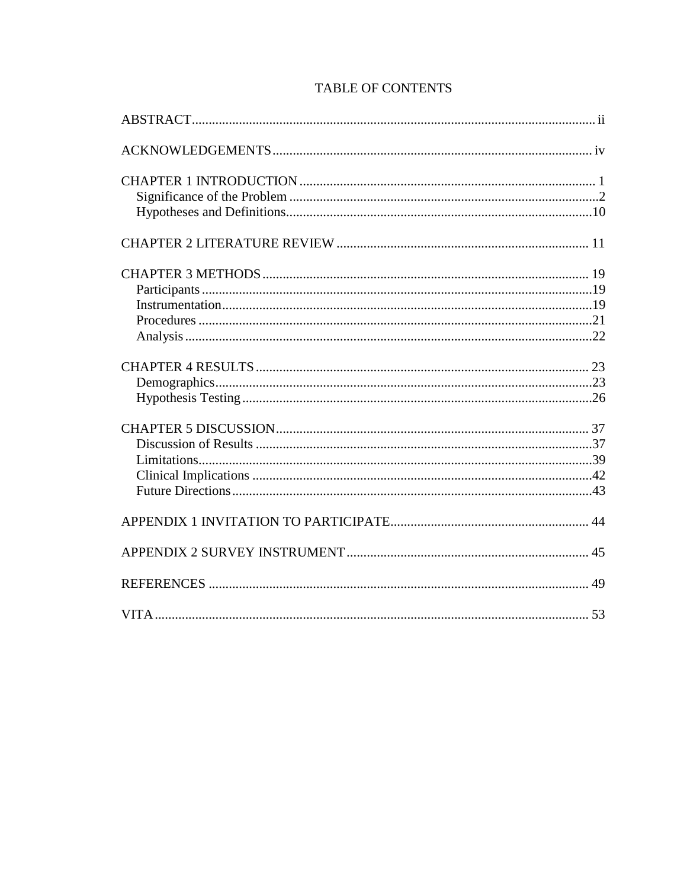| 53 |
|----|

# **TABLE OF CONTENTS**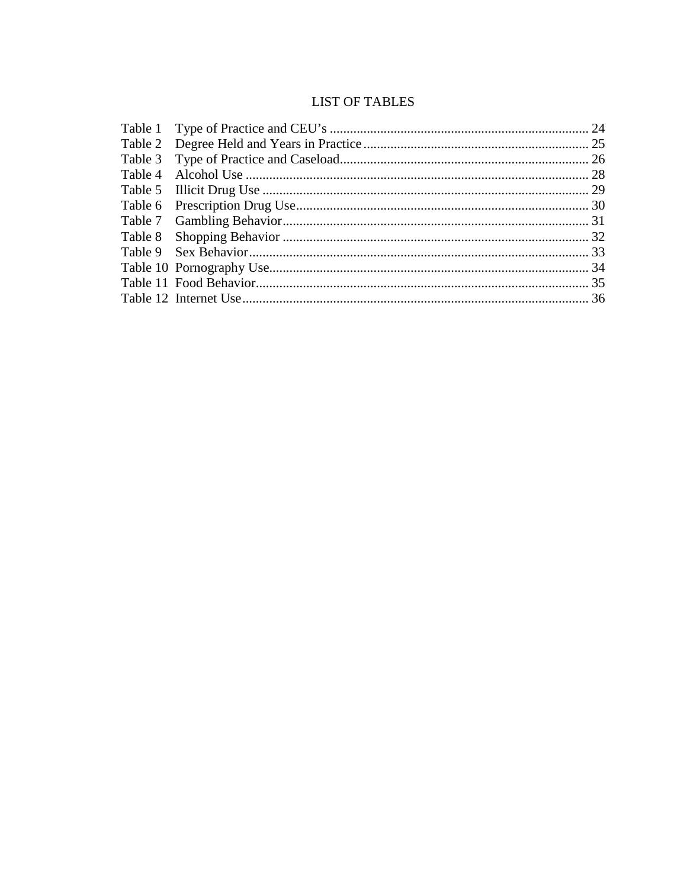# **LIST OF TABLES**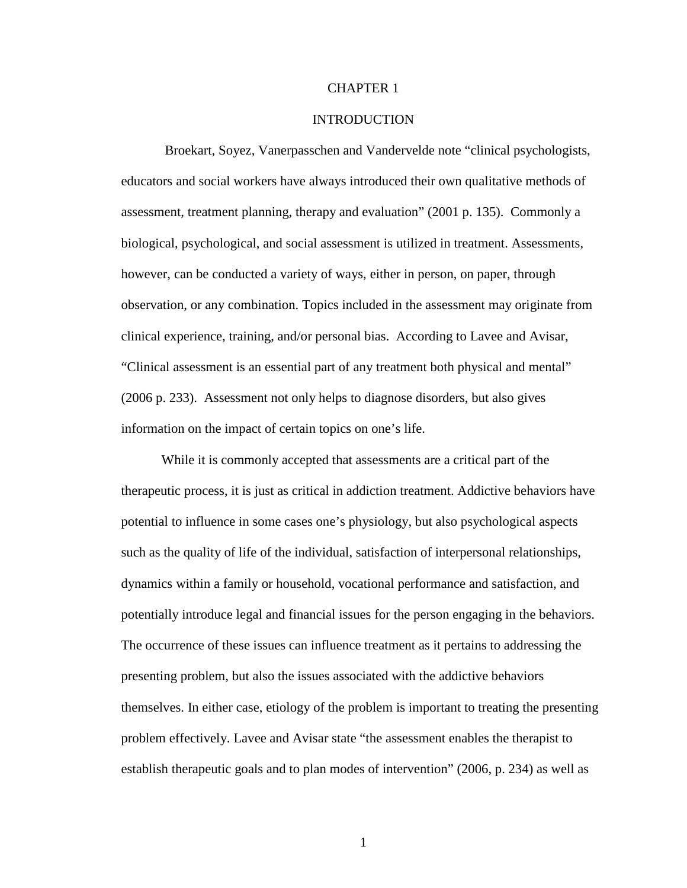# CHAPTER 1

#### INTRODUCTION

 Broekart, Soyez, Vanerpasschen and Vandervelde note "clinical psychologists, educators and social workers have always introduced their own qualitative methods of assessment, treatment planning, therapy and evaluation" (2001 p. 135). Commonly a biological, psychological, and social assessment is utilized in treatment. Assessments, however, can be conducted a variety of ways, either in person, on paper, through observation, or any combination. Topics included in the assessment may originate from clinical experience, training, and/or personal bias. According to Lavee and Avisar, "Clinical assessment is an essential part of any treatment both physical and mental" (2006 p. 233). Assessment not only helps to diagnose disorders, but also gives information on the impact of certain topics on one's life.

While it is commonly accepted that assessments are a critical part of the therapeutic process, it is just as critical in addiction treatment. Addictive behaviors have potential to influence in some cases one's physiology, but also psychological aspects such as the quality of life of the individual, satisfaction of interpersonal relationships, dynamics within a family or household, vocational performance and satisfaction, and potentially introduce legal and financial issues for the person engaging in the behaviors. The occurrence of these issues can influence treatment as it pertains to addressing the presenting problem, but also the issues associated with the addictive behaviors themselves. In either case, etiology of the problem is important to treating the presenting problem effectively. Lavee and Avisar state "the assessment enables the therapist to establish therapeutic goals and to plan modes of intervention" (2006, p. 234) as well as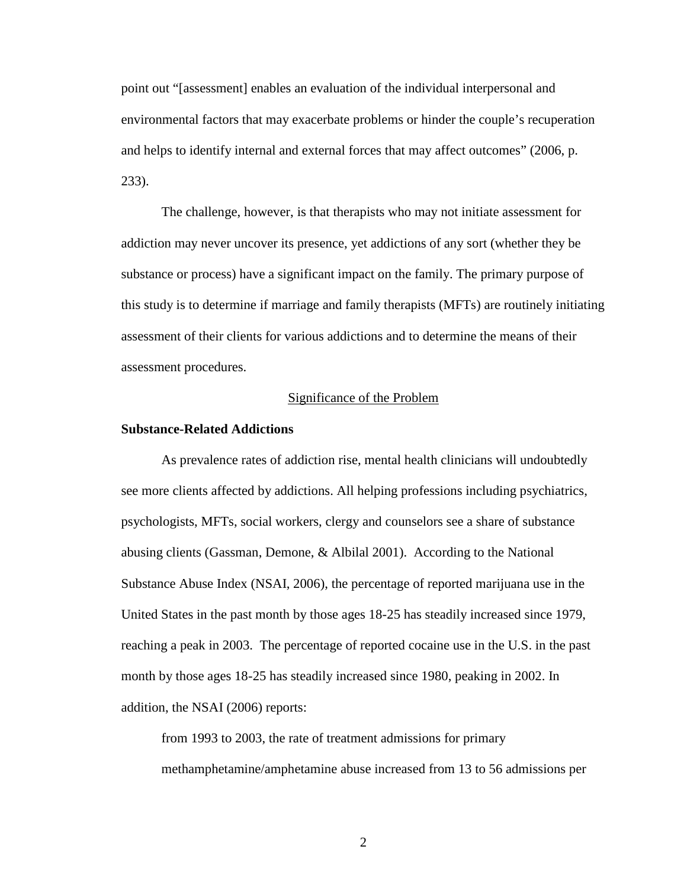point out "[assessment] enables an evaluation of the individual interpersonal and environmental factors that may exacerbate problems or hinder the couple's recuperation and helps to identify internal and external forces that may affect outcomes" (2006, p. 233).

The challenge, however, is that therapists who may not initiate assessment for addiction may never uncover its presence, yet addictions of any sort (whether they be substance or process) have a significant impact on the family. The primary purpose of this study is to determine if marriage and family therapists (MFTs) are routinely initiating assessment of their clients for various addictions and to determine the means of their assessment procedures.

## Significance of the Problem

#### **Substance-Related Addictions**

As prevalence rates of addiction rise, mental health clinicians will undoubtedly see more clients affected by addictions. All helping professions including psychiatrics, psychologists, MFTs, social workers, clergy and counselors see a share of substance abusing clients (Gassman, Demone, & Albilal 2001). According to the National Substance Abuse Index (NSAI, 2006), the percentage of reported marijuana use in the United States in the past month by those ages 18-25 has steadily increased since 1979, reaching a peak in 2003. The percentage of reported cocaine use in the U.S. in the past month by those ages 18-25 has steadily increased since 1980, peaking in 2002. In addition, the NSAI (2006) reports:

from 1993 to 2003, the rate of treatment admissions for primary methamphetamine/amphetamine abuse increased from 13 to 56 admissions per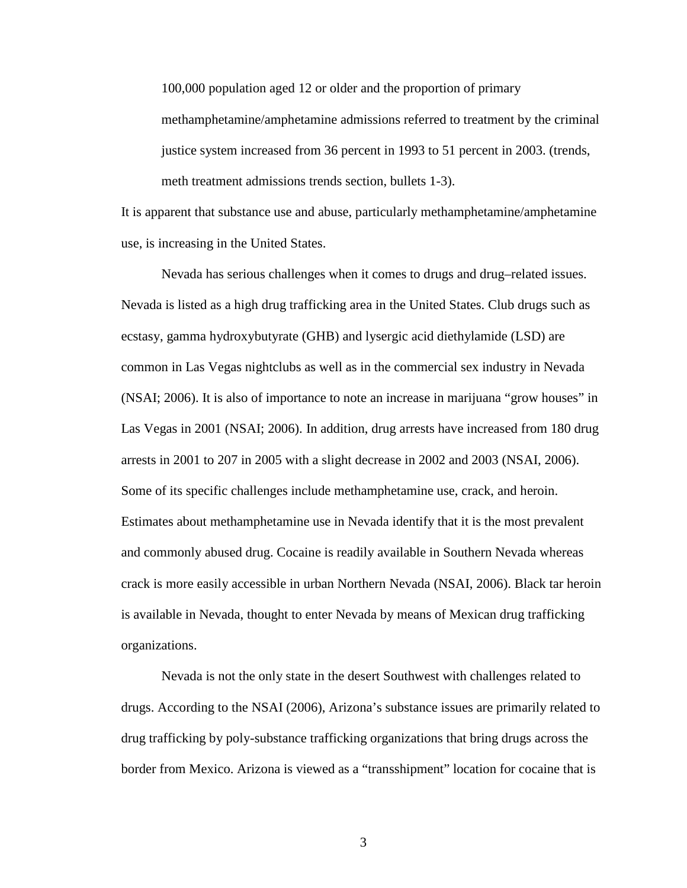100,000 population aged 12 or older and the proportion of primary

methamphetamine/amphetamine admissions referred to treatment by the criminal justice system increased from 36 percent in 1993 to 51 percent in 2003. (trends, meth treatment admissions trends section, bullets 1-3).

It is apparent that substance use and abuse, particularly methamphetamine/amphetamine use, is increasing in the United States.

Nevada has serious challenges when it comes to drugs and drug–related issues. Nevada is listed as a high drug trafficking area in the United States. Club drugs such as ecstasy, gamma hydroxybutyrate (GHB) and lysergic acid diethylamide (LSD) are common in Las Vegas nightclubs as well as in the commercial sex industry in Nevada (NSAI; 2006). It is also of importance to note an increase in marijuana "grow houses" in Las Vegas in 2001 (NSAI; 2006). In addition, drug arrests have increased from 180 drug arrests in 2001 to 207 in 2005 with a slight decrease in 2002 and 2003 (NSAI, 2006). Some of its specific challenges include methamphetamine use, crack, and heroin. Estimates about methamphetamine use in Nevada identify that it is the most prevalent and commonly abused drug. Cocaine is readily available in Southern Nevada whereas crack is more easily accessible in urban Northern Nevada (NSAI, 2006). Black tar heroin is available in Nevada, thought to enter Nevada by means of Mexican drug trafficking organizations.

Nevada is not the only state in the desert Southwest with challenges related to drugs. According to the NSAI (2006), Arizona's substance issues are primarily related to drug trafficking by poly-substance trafficking organizations that bring drugs across the border from Mexico. Arizona is viewed as a "transshipment" location for cocaine that is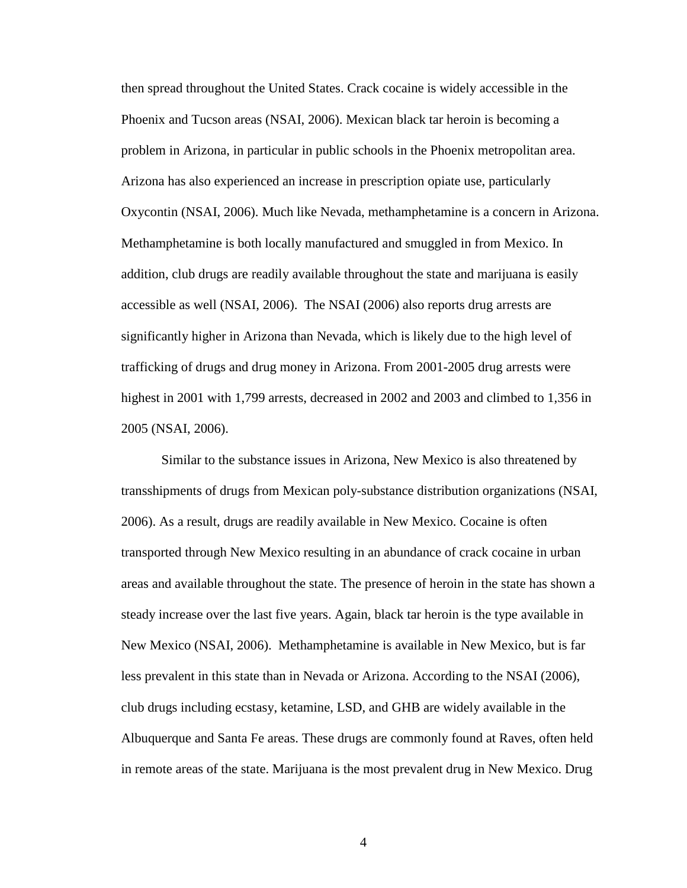then spread throughout the United States. Crack cocaine is widely accessible in the Phoenix and Tucson areas (NSAI, 2006). Mexican black tar heroin is becoming a problem in Arizona, in particular in public schools in the Phoenix metropolitan area. Arizona has also experienced an increase in prescription opiate use, particularly Oxycontin (NSAI, 2006). Much like Nevada, methamphetamine is a concern in Arizona. Methamphetamine is both locally manufactured and smuggled in from Mexico. In addition, club drugs are readily available throughout the state and marijuana is easily accessible as well (NSAI, 2006). The NSAI (2006) also reports drug arrests are significantly higher in Arizona than Nevada, which is likely due to the high level of trafficking of drugs and drug money in Arizona. From 2001-2005 drug arrests were highest in 2001 with 1,799 arrests, decreased in 2002 and 2003 and climbed to 1,356 in 2005 (NSAI, 2006).

Similar to the substance issues in Arizona, New Mexico is also threatened by transshipments of drugs from Mexican poly-substance distribution organizations (NSAI, 2006). As a result, drugs are readily available in New Mexico. Cocaine is often transported through New Mexico resulting in an abundance of crack cocaine in urban areas and available throughout the state. The presence of heroin in the state has shown a steady increase over the last five years. Again, black tar heroin is the type available in New Mexico (NSAI, 2006). Methamphetamine is available in New Mexico, but is far less prevalent in this state than in Nevada or Arizona. According to the NSAI (2006), club drugs including ecstasy, ketamine, LSD, and GHB are widely available in the Albuquerque and Santa Fe areas. These drugs are commonly found at Raves, often held in remote areas of the state. Marijuana is the most prevalent drug in New Mexico. Drug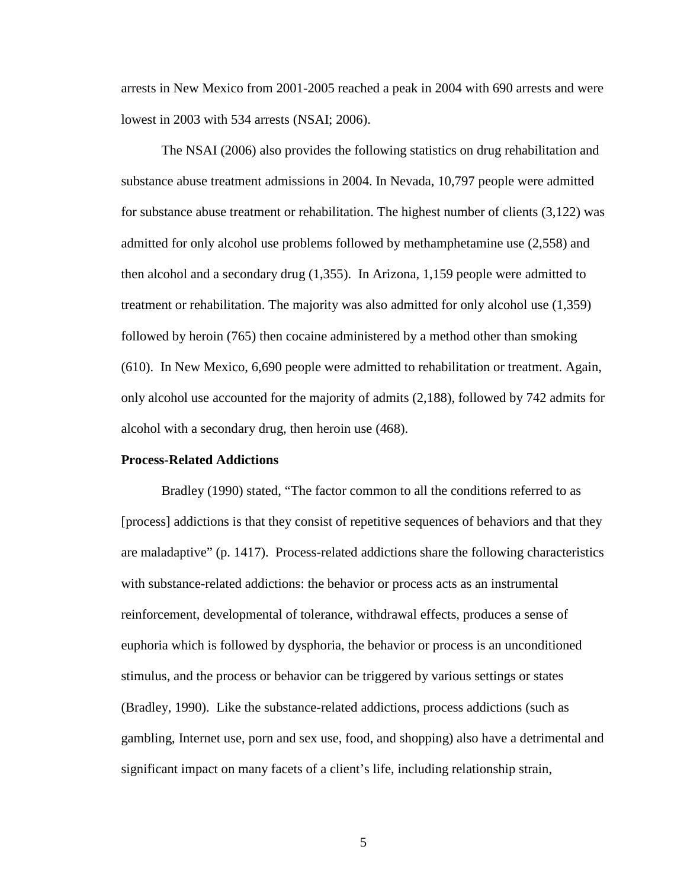arrests in New Mexico from 2001-2005 reached a peak in 2004 with 690 arrests and were lowest in 2003 with 534 arrests (NSAI; 2006).

The NSAI (2006) also provides the following statistics on drug rehabilitation and substance abuse treatment admissions in 2004. In Nevada, 10,797 people were admitted for substance abuse treatment or rehabilitation. The highest number of clients (3,122) was admitted for only alcohol use problems followed by methamphetamine use (2,558) and then alcohol and a secondary drug (1,355). In Arizona, 1,159 people were admitted to treatment or rehabilitation. The majority was also admitted for only alcohol use (1,359) followed by heroin (765) then cocaine administered by a method other than smoking (610). In New Mexico, 6,690 people were admitted to rehabilitation or treatment. Again, only alcohol use accounted for the majority of admits (2,188), followed by 742 admits for alcohol with a secondary drug, then heroin use (468).

#### **Process-Related Addictions**

 Bradley (1990) stated, "The factor common to all the conditions referred to as [process] addictions is that they consist of repetitive sequences of behaviors and that they are maladaptive" (p. 1417). Process-related addictions share the following characteristics with substance-related addictions: the behavior or process acts as an instrumental reinforcement, developmental of tolerance, withdrawal effects, produces a sense of euphoria which is followed by dysphoria, the behavior or process is an unconditioned stimulus, and the process or behavior can be triggered by various settings or states (Bradley, 1990). Like the substance-related addictions, process addictions (such as gambling, Internet use, porn and sex use, food, and shopping) also have a detrimental and significant impact on many facets of a client's life, including relationship strain,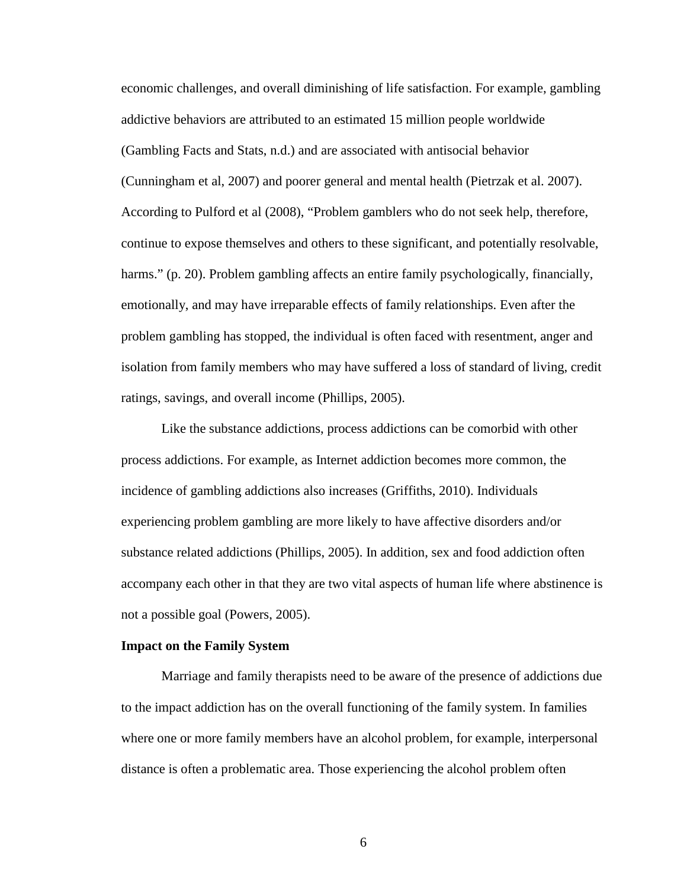economic challenges, and overall diminishing of life satisfaction. For example, gambling addictive behaviors are attributed to an estimated 15 million people worldwide (Gambling Facts and Stats, n.d.) and are associated with antisocial behavior (Cunningham et al, 2007) and poorer general and mental health (Pietrzak et al. 2007). According to Pulford et al (2008), "Problem gamblers who do not seek help, therefore, continue to expose themselves and others to these significant, and potentially resolvable, harms." (p. 20). Problem gambling affects an entire family psychologically, financially, emotionally, and may have irreparable effects of family relationships. Even after the problem gambling has stopped, the individual is often faced with resentment, anger and isolation from family members who may have suffered a loss of standard of living, credit ratings, savings, and overall income (Phillips, 2005).

Like the substance addictions, process addictions can be comorbid with other process addictions. For example, as Internet addiction becomes more common, the incidence of gambling addictions also increases (Griffiths, 2010). Individuals experiencing problem gambling are more likely to have affective disorders and/or substance related addictions (Phillips, 2005). In addition, sex and food addiction often accompany each other in that they are two vital aspects of human life where abstinence is not a possible goal (Powers, 2005).

#### **Impact on the Family System**

Marriage and family therapists need to be aware of the presence of addictions due to the impact addiction has on the overall functioning of the family system. In families where one or more family members have an alcohol problem, for example, interpersonal distance is often a problematic area. Those experiencing the alcohol problem often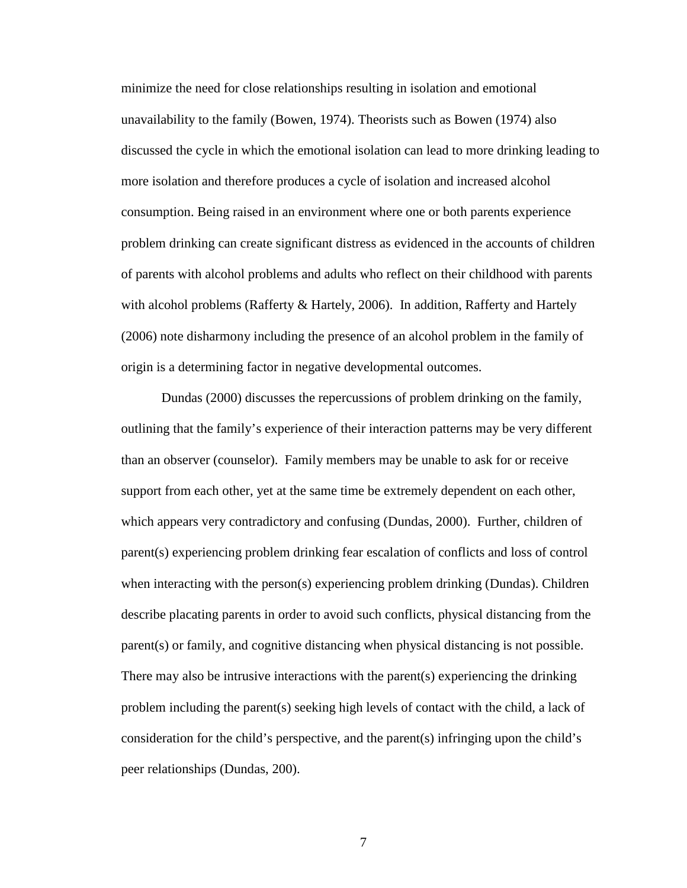minimize the need for close relationships resulting in isolation and emotional unavailability to the family (Bowen, 1974). Theorists such as Bowen (1974) also discussed the cycle in which the emotional isolation can lead to more drinking leading to more isolation and therefore produces a cycle of isolation and increased alcohol consumption. Being raised in an environment where one or both parents experience problem drinking can create significant distress as evidenced in the accounts of children of parents with alcohol problems and adults who reflect on their childhood with parents with alcohol problems (Rafferty & Hartely, 2006). In addition, Rafferty and Hartely (2006) note disharmony including the presence of an alcohol problem in the family of origin is a determining factor in negative developmental outcomes.

Dundas (2000) discusses the repercussions of problem drinking on the family, outlining that the family's experience of their interaction patterns may be very different than an observer (counselor). Family members may be unable to ask for or receive support from each other, yet at the same time be extremely dependent on each other, which appears very contradictory and confusing (Dundas, 2000). Further, children of parent(s) experiencing problem drinking fear escalation of conflicts and loss of control when interacting with the person(s) experiencing problem drinking (Dundas). Children describe placating parents in order to avoid such conflicts, physical distancing from the parent(s) or family, and cognitive distancing when physical distancing is not possible. There may also be intrusive interactions with the parent(s) experiencing the drinking problem including the parent(s) seeking high levels of contact with the child, a lack of consideration for the child's perspective, and the parent(s) infringing upon the child's peer relationships (Dundas, 200).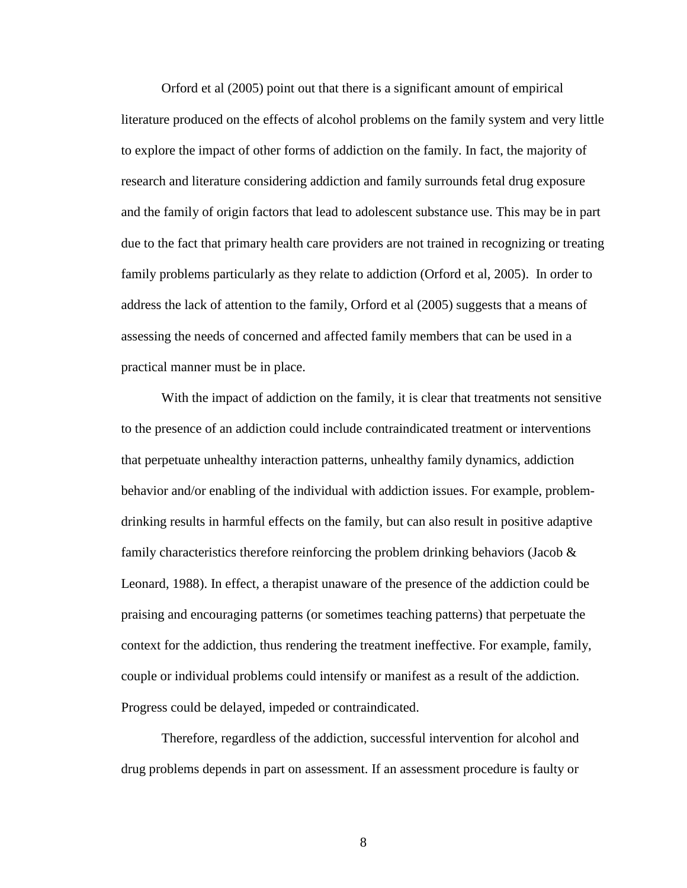Orford et al (2005) point out that there is a significant amount of empirical literature produced on the effects of alcohol problems on the family system and very little to explore the impact of other forms of addiction on the family. In fact, the majority of research and literature considering addiction and family surrounds fetal drug exposure and the family of origin factors that lead to adolescent substance use. This may be in part due to the fact that primary health care providers are not trained in recognizing or treating family problems particularly as they relate to addiction (Orford et al, 2005). In order to address the lack of attention to the family, Orford et al (2005) suggests that a means of assessing the needs of concerned and affected family members that can be used in a practical manner must be in place.

With the impact of addiction on the family, it is clear that treatments not sensitive to the presence of an addiction could include contraindicated treatment or interventions that perpetuate unhealthy interaction patterns, unhealthy family dynamics, addiction behavior and/or enabling of the individual with addiction issues. For example, problemdrinking results in harmful effects on the family, but can also result in positive adaptive family characteristics therefore reinforcing the problem drinking behaviors (Jacob & Leonard, 1988). In effect, a therapist unaware of the presence of the addiction could be praising and encouraging patterns (or sometimes teaching patterns) that perpetuate the context for the addiction, thus rendering the treatment ineffective. For example, family, couple or individual problems could intensify or manifest as a result of the addiction. Progress could be delayed, impeded or contraindicated.

Therefore, regardless of the addiction, successful intervention for alcohol and drug problems depends in part on assessment. If an assessment procedure is faulty or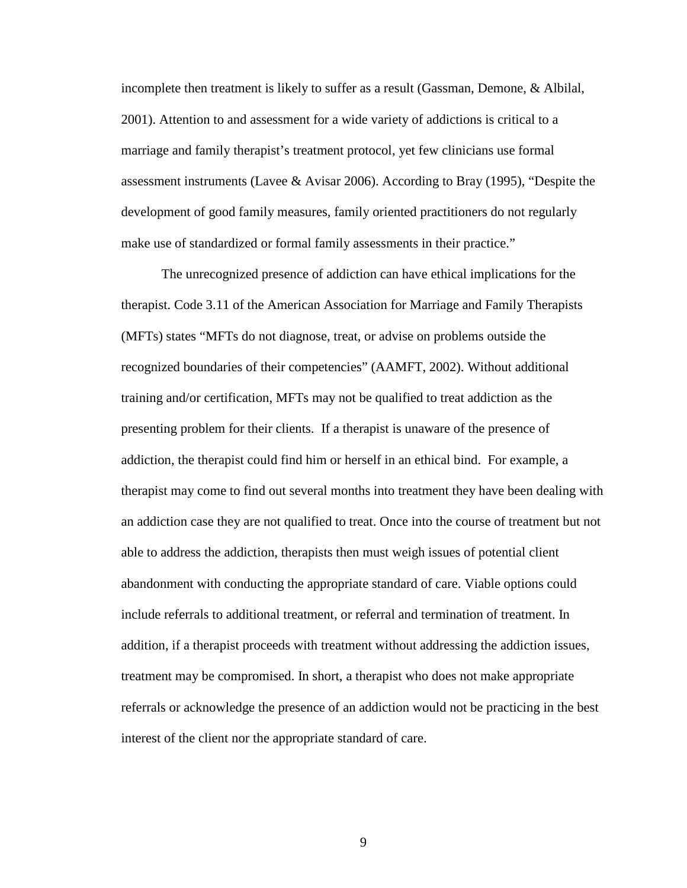incomplete then treatment is likely to suffer as a result (Gassman, Demone, & Albilal, 2001). Attention to and assessment for a wide variety of addictions is critical to a marriage and family therapist's treatment protocol, yet few clinicians use formal assessment instruments (Lavee & Avisar 2006). According to Bray (1995), "Despite the development of good family measures, family oriented practitioners do not regularly make use of standardized or formal family assessments in their practice."

The unrecognized presence of addiction can have ethical implications for the therapist. Code 3.11 of the American Association for Marriage and Family Therapists (MFTs) states "MFTs do not diagnose, treat, or advise on problems outside the recognized boundaries of their competencies" (AAMFT, 2002). Without additional training and/or certification, MFTs may not be qualified to treat addiction as the presenting problem for their clients. If a therapist is unaware of the presence of addiction, the therapist could find him or herself in an ethical bind. For example, a therapist may come to find out several months into treatment they have been dealing with an addiction case they are not qualified to treat. Once into the course of treatment but not able to address the addiction, therapists then must weigh issues of potential client abandonment with conducting the appropriate standard of care. Viable options could include referrals to additional treatment, or referral and termination of treatment. In addition, if a therapist proceeds with treatment without addressing the addiction issues, treatment may be compromised. In short, a therapist who does not make appropriate referrals or acknowledge the presence of an addiction would not be practicing in the best interest of the client nor the appropriate standard of care.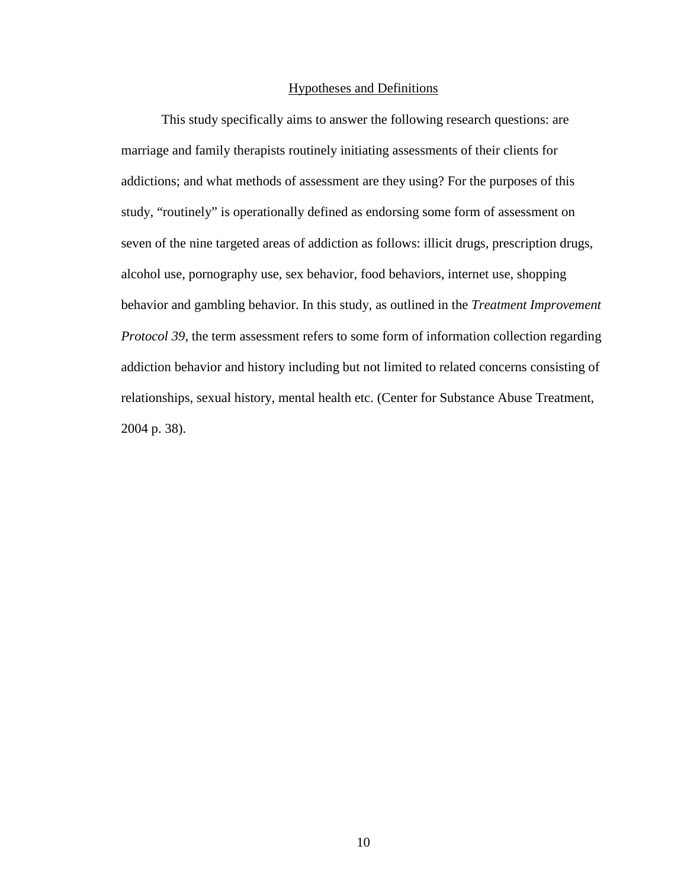#### Hypotheses and Definitions

 This study specifically aims to answer the following research questions: are marriage and family therapists routinely initiating assessments of their clients for addictions; and what methods of assessment are they using? For the purposes of this study, "routinely" is operationally defined as endorsing some form of assessment on seven of the nine targeted areas of addiction as follows: illicit drugs, prescription drugs, alcohol use, pornography use, sex behavior, food behaviors, internet use, shopping behavior and gambling behavior. In this study, as outlined in the *Treatment Improvement Protocol 39*, the term assessment refers to some form of information collection regarding addiction behavior and history including but not limited to related concerns consisting of relationships, sexual history, mental health etc. (Center for Substance Abuse Treatment, 2004 p. 38).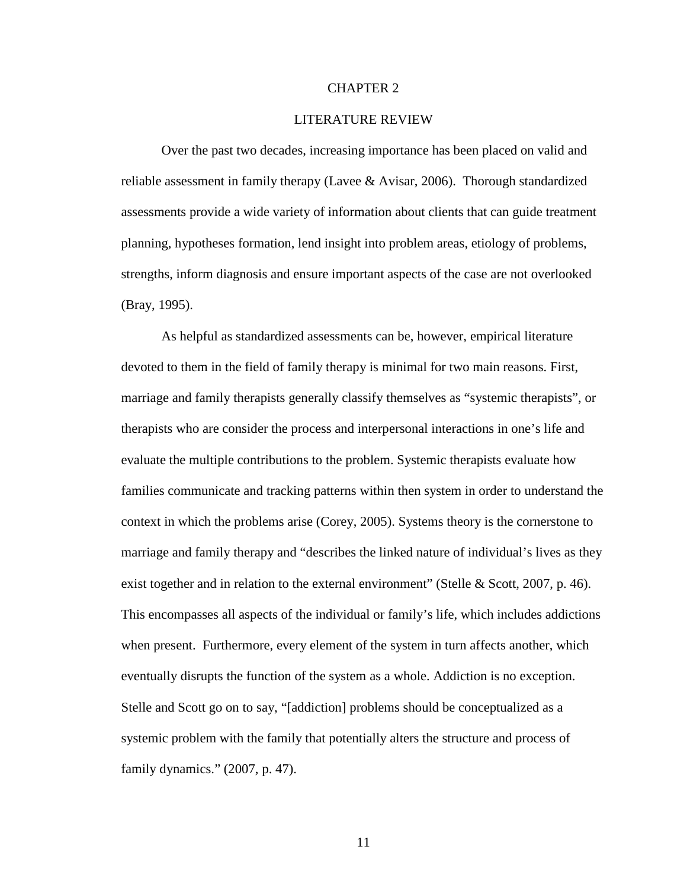#### CHAPTER 2

#### LITERATURE REVIEW

Over the past two decades, increasing importance has been placed on valid and reliable assessment in family therapy (Lavee & Avisar, 2006). Thorough standardized assessments provide a wide variety of information about clients that can guide treatment planning, hypotheses formation, lend insight into problem areas, etiology of problems, strengths, inform diagnosis and ensure important aspects of the case are not overlooked (Bray, 1995).

As helpful as standardized assessments can be, however, empirical literature devoted to them in the field of family therapy is minimal for two main reasons. First, marriage and family therapists generally classify themselves as "systemic therapists", or therapists who are consider the process and interpersonal interactions in one's life and evaluate the multiple contributions to the problem. Systemic therapists evaluate how families communicate and tracking patterns within then system in order to understand the context in which the problems arise (Corey, 2005). Systems theory is the cornerstone to marriage and family therapy and "describes the linked nature of individual's lives as they exist together and in relation to the external environment" (Stelle & Scott, 2007, p. 46). This encompasses all aspects of the individual or family's life, which includes addictions when present. Furthermore, every element of the system in turn affects another, which eventually disrupts the function of the system as a whole. Addiction is no exception. Stelle and Scott go on to say, "[addiction] problems should be conceptualized as a systemic problem with the family that potentially alters the structure and process of family dynamics." (2007, p. 47).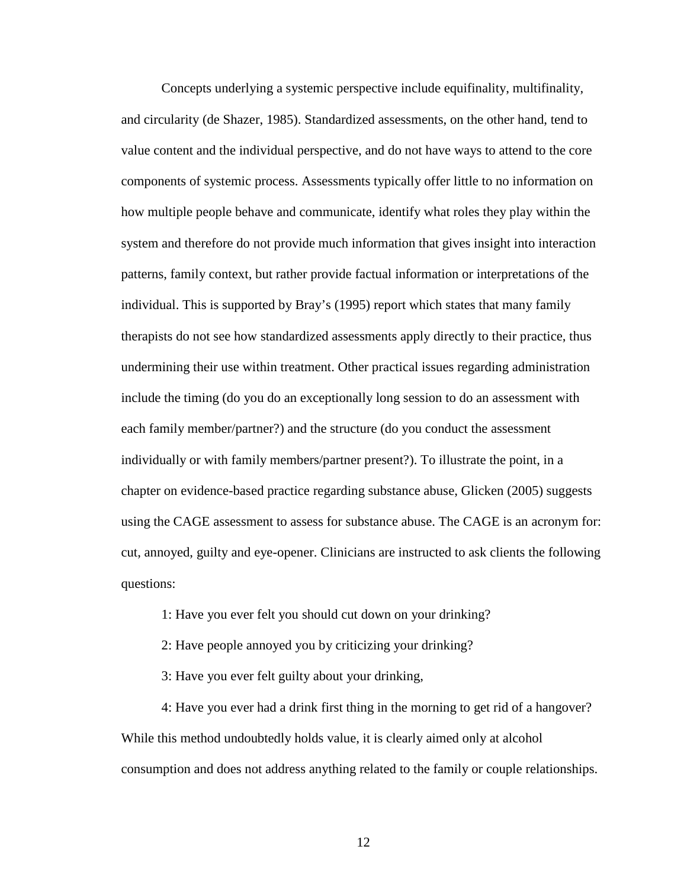Concepts underlying a systemic perspective include equifinality, multifinality, and circularity (de Shazer, 1985). Standardized assessments, on the other hand, tend to value content and the individual perspective, and do not have ways to attend to the core components of systemic process. Assessments typically offer little to no information on how multiple people behave and communicate, identify what roles they play within the system and therefore do not provide much information that gives insight into interaction patterns, family context, but rather provide factual information or interpretations of the individual. This is supported by Bray's (1995) report which states that many family therapists do not see how standardized assessments apply directly to their practice, thus undermining their use within treatment. Other practical issues regarding administration include the timing (do you do an exceptionally long session to do an assessment with each family member/partner?) and the structure (do you conduct the assessment individually or with family members/partner present?). To illustrate the point, in a chapter on evidence-based practice regarding substance abuse, Glicken (2005) suggests using the CAGE assessment to assess for substance abuse. The CAGE is an acronym for: cut, annoyed, guilty and eye-opener. Clinicians are instructed to ask clients the following questions:

1: Have you ever felt you should cut down on your drinking?

2: Have people annoyed you by criticizing your drinking?

3: Have you ever felt guilty about your drinking,

4: Have you ever had a drink first thing in the morning to get rid of a hangover? While this method undoubtedly holds value, it is clearly aimed only at alcohol consumption and does not address anything related to the family or couple relationships.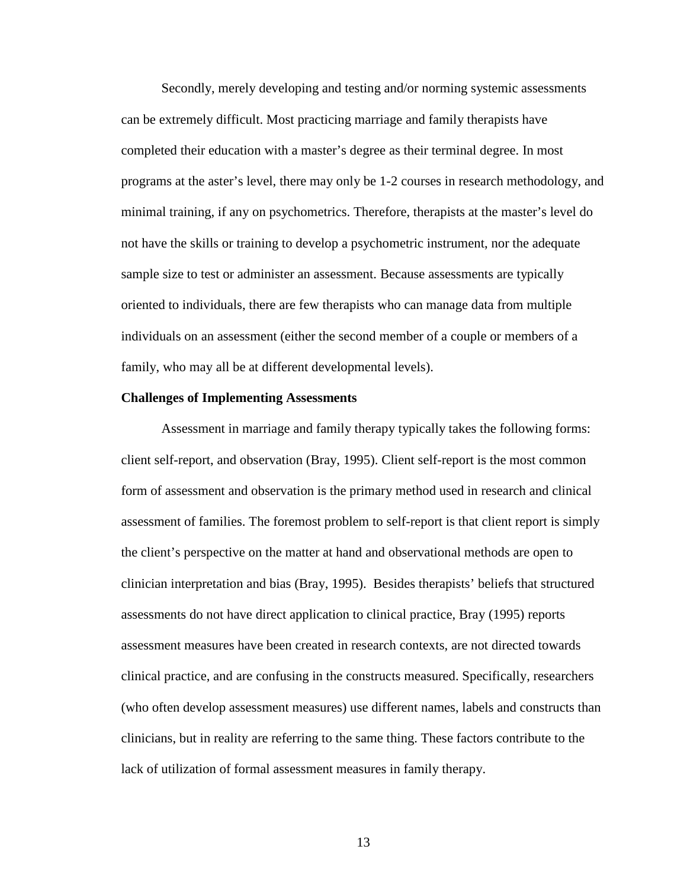Secondly, merely developing and testing and/or norming systemic assessments can be extremely difficult. Most practicing marriage and family therapists have completed their education with a master's degree as their terminal degree. In most programs at the aster's level, there may only be 1-2 courses in research methodology, and minimal training, if any on psychometrics. Therefore, therapists at the master's level do not have the skills or training to develop a psychometric instrument, nor the adequate sample size to test or administer an assessment. Because assessments are typically oriented to individuals, there are few therapists who can manage data from multiple individuals on an assessment (either the second member of a couple or members of a family, who may all be at different developmental levels).

#### **Challenges of Implementing Assessments**

Assessment in marriage and family therapy typically takes the following forms: client self-report, and observation (Bray, 1995). Client self-report is the most common form of assessment and observation is the primary method used in research and clinical assessment of families. The foremost problem to self-report is that client report is simply the client's perspective on the matter at hand and observational methods are open to clinician interpretation and bias (Bray, 1995). Besides therapists' beliefs that structured assessments do not have direct application to clinical practice, Bray (1995) reports assessment measures have been created in research contexts, are not directed towards clinical practice, and are confusing in the constructs measured. Specifically, researchers (who often develop assessment measures) use different names, labels and constructs than clinicians, but in reality are referring to the same thing. These factors contribute to the lack of utilization of formal assessment measures in family therapy.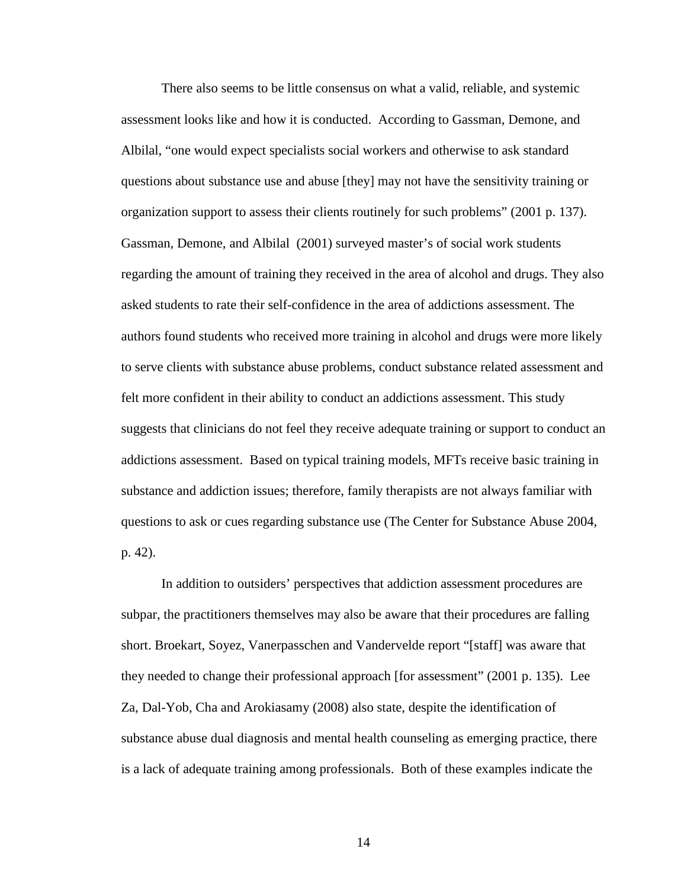There also seems to be little consensus on what a valid, reliable, and systemic assessment looks like and how it is conducted. According to Gassman, Demone, and Albilal, "one would expect specialists social workers and otherwise to ask standard questions about substance use and abuse [they] may not have the sensitivity training or organization support to assess their clients routinely for such problems" (2001 p. 137). Gassman, Demone, and Albilal (2001) surveyed master's of social work students regarding the amount of training they received in the area of alcohol and drugs. They also asked students to rate their self-confidence in the area of addictions assessment. The authors found students who received more training in alcohol and drugs were more likely to serve clients with substance abuse problems, conduct substance related assessment and felt more confident in their ability to conduct an addictions assessment. This study suggests that clinicians do not feel they receive adequate training or support to conduct an addictions assessment. Based on typical training models, MFTs receive basic training in substance and addiction issues; therefore, family therapists are not always familiar with questions to ask or cues regarding substance use (The Center for Substance Abuse 2004, p. 42).

In addition to outsiders' perspectives that addiction assessment procedures are subpar, the practitioners themselves may also be aware that their procedures are falling short. Broekart, Soyez, Vanerpasschen and Vandervelde report "[staff] was aware that they needed to change their professional approach [for assessment" (2001 p. 135). Lee Za, Dal-Yob, Cha and Arokiasamy (2008) also state, despite the identification of substance abuse dual diagnosis and mental health counseling as emerging practice, there is a lack of adequate training among professionals. Both of these examples indicate the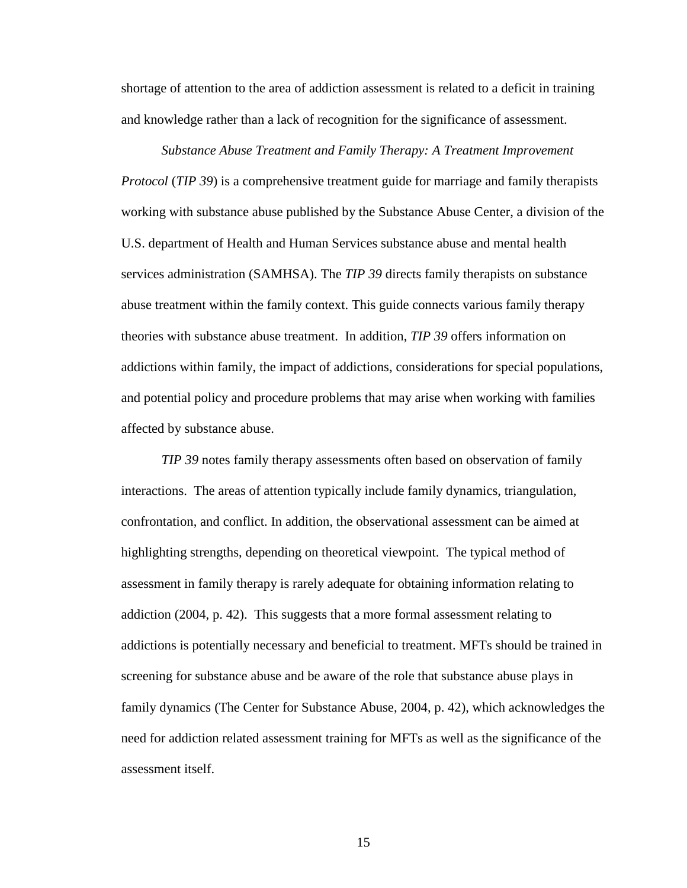shortage of attention to the area of addiction assessment is related to a deficit in training and knowledge rather than a lack of recognition for the significance of assessment.

*Substance Abuse Treatment and Family Therapy: A Treatment Improvement Protocol* (*TIP 39*) is a comprehensive treatment guide for marriage and family therapists working with substance abuse published by the Substance Abuse Center, a division of the U.S. department of Health and Human Services substance abuse and mental health services administration (SAMHSA). The *TIP 39* directs family therapists on substance abuse treatment within the family context. This guide connects various family therapy theories with substance abuse treatment. In addition, *TIP 39* offers information on addictions within family, the impact of addictions, considerations for special populations, and potential policy and procedure problems that may arise when working with families affected by substance abuse.

*TIP 39* notes family therapy assessments often based on observation of family interactions. The areas of attention typically include family dynamics, triangulation, confrontation, and conflict. In addition, the observational assessment can be aimed at highlighting strengths, depending on theoretical viewpoint. The typical method of assessment in family therapy is rarely adequate for obtaining information relating to addiction (2004, p. 42). This suggests that a more formal assessment relating to addictions is potentially necessary and beneficial to treatment. MFTs should be trained in screening for substance abuse and be aware of the role that substance abuse plays in family dynamics (The Center for Substance Abuse, 2004, p. 42), which acknowledges the need for addiction related assessment training for MFTs as well as the significance of the assessment itself.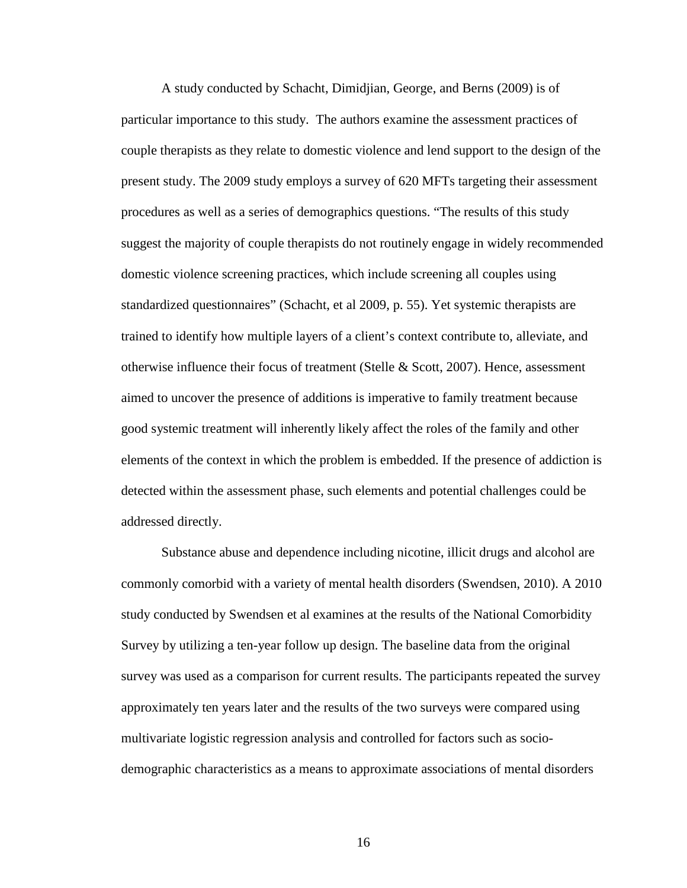A study conducted by Schacht, Dimidjian, George, and Berns (2009) is of particular importance to this study. The authors examine the assessment practices of couple therapists as they relate to domestic violence and lend support to the design of the present study. The 2009 study employs a survey of 620 MFTs targeting their assessment procedures as well as a series of demographics questions. "The results of this study suggest the majority of couple therapists do not routinely engage in widely recommended domestic violence screening practices, which include screening all couples using standardized questionnaires" (Schacht, et al 2009, p. 55). Yet systemic therapists are trained to identify how multiple layers of a client's context contribute to, alleviate, and otherwise influence their focus of treatment (Stelle  $&$  Scott, 2007). Hence, assessment aimed to uncover the presence of additions is imperative to family treatment because good systemic treatment will inherently likely affect the roles of the family and other elements of the context in which the problem is embedded. If the presence of addiction is detected within the assessment phase, such elements and potential challenges could be addressed directly.

Substance abuse and dependence including nicotine, illicit drugs and alcohol are commonly comorbid with a variety of mental health disorders (Swendsen, 2010). A 2010 study conducted by Swendsen et al examines at the results of the National Comorbidity Survey by utilizing a ten-year follow up design. The baseline data from the original survey was used as a comparison for current results. The participants repeated the survey approximately ten years later and the results of the two surveys were compared using multivariate logistic regression analysis and controlled for factors such as sociodemographic characteristics as a means to approximate associations of mental disorders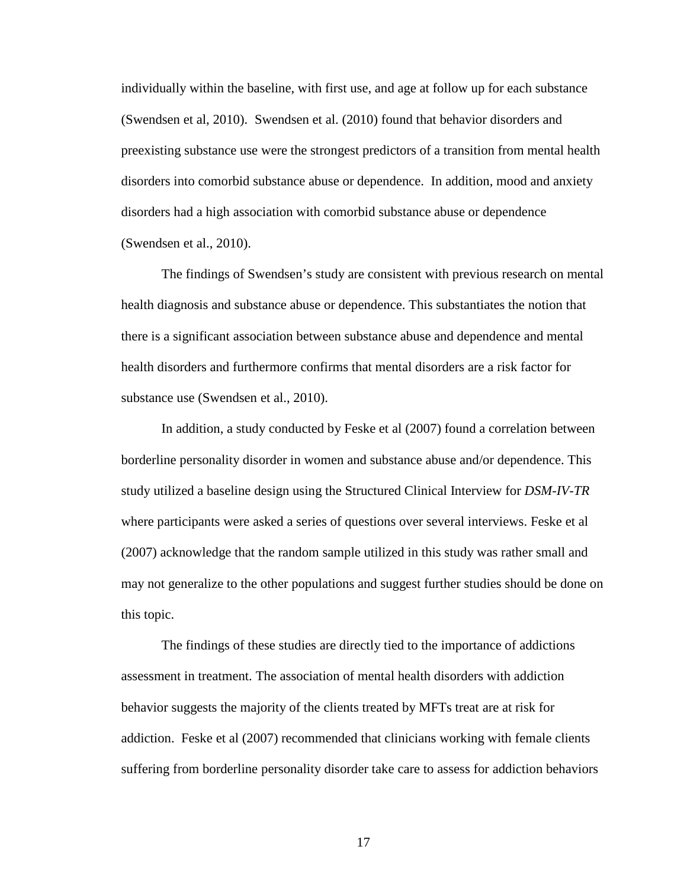individually within the baseline, with first use, and age at follow up for each substance (Swendsen et al, 2010). Swendsen et al. (2010) found that behavior disorders and preexisting substance use were the strongest predictors of a transition from mental health disorders into comorbid substance abuse or dependence. In addition, mood and anxiety disorders had a high association with comorbid substance abuse or dependence (Swendsen et al., 2010).

The findings of Swendsen's study are consistent with previous research on mental health diagnosis and substance abuse or dependence. This substantiates the notion that there is a significant association between substance abuse and dependence and mental health disorders and furthermore confirms that mental disorders are a risk factor for substance use (Swendsen et al., 2010).

In addition, a study conducted by Feske et al (2007) found a correlation between borderline personality disorder in women and substance abuse and/or dependence. This study utilized a baseline design using the Structured Clinical Interview for *DSM-IV-TR* where participants were asked a series of questions over several interviews. Feske et al (2007) acknowledge that the random sample utilized in this study was rather small and may not generalize to the other populations and suggest further studies should be done on this topic.

The findings of these studies are directly tied to the importance of addictions assessment in treatment. The association of mental health disorders with addiction behavior suggests the majority of the clients treated by MFTs treat are at risk for addiction. Feske et al (2007) recommended that clinicians working with female clients suffering from borderline personality disorder take care to assess for addiction behaviors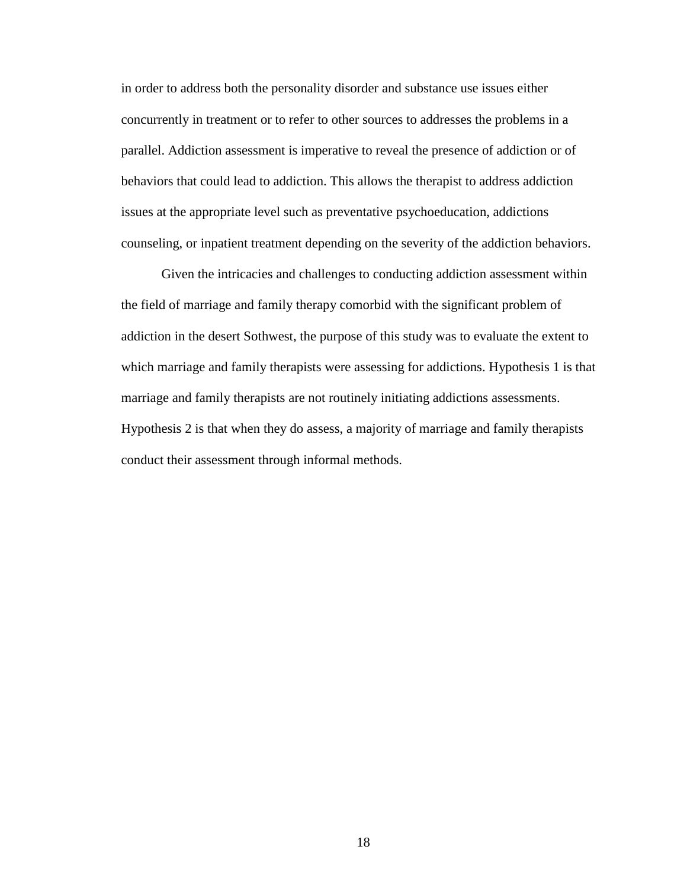in order to address both the personality disorder and substance use issues either concurrently in treatment or to refer to other sources to addresses the problems in a parallel. Addiction assessment is imperative to reveal the presence of addiction or of behaviors that could lead to addiction. This allows the therapist to address addiction issues at the appropriate level such as preventative psychoeducation, addictions counseling, or inpatient treatment depending on the severity of the addiction behaviors.

Given the intricacies and challenges to conducting addiction assessment within the field of marriage and family therapy comorbid with the significant problem of addiction in the desert Sothwest, the purpose of this study was to evaluate the extent to which marriage and family therapists were assessing for addictions. Hypothesis 1 is that marriage and family therapists are not routinely initiating addictions assessments. Hypothesis 2 is that when they do assess, a majority of marriage and family therapists conduct their assessment through informal methods.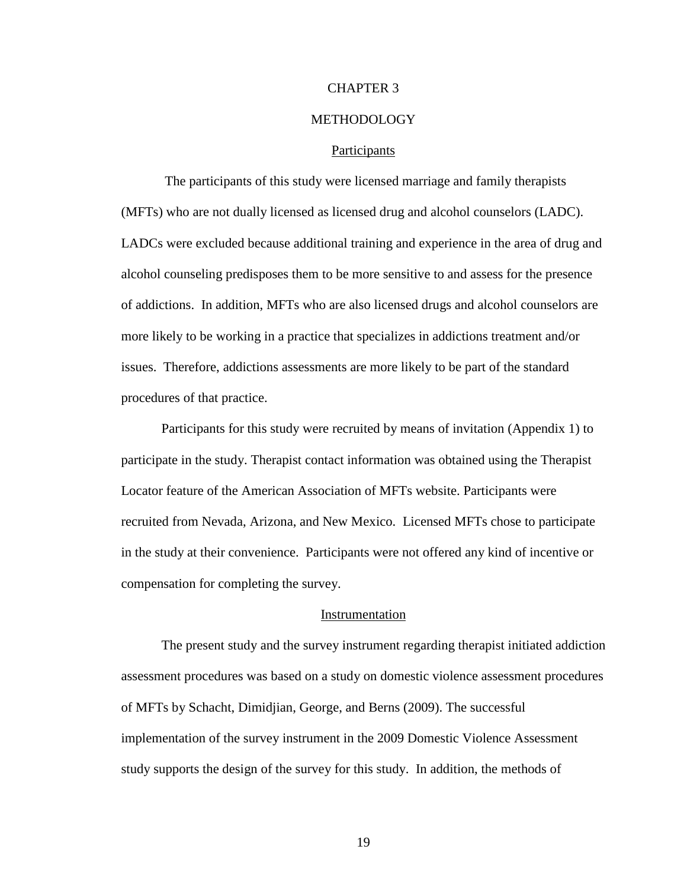#### CHAPTER 3

#### METHODOLOGY

#### Participants

 The participants of this study were licensed marriage and family therapists (MFTs) who are not dually licensed as licensed drug and alcohol counselors (LADC). LADCs were excluded because additional training and experience in the area of drug and alcohol counseling predisposes them to be more sensitive to and assess for the presence of addictions. In addition, MFTs who are also licensed drugs and alcohol counselors are more likely to be working in a practice that specializes in addictions treatment and/or issues. Therefore, addictions assessments are more likely to be part of the standard procedures of that practice.

 Participants for this study were recruited by means of invitation (Appendix 1) to participate in the study. Therapist contact information was obtained using the Therapist Locator feature of the American Association of MFTs website. Participants were recruited from Nevada, Arizona, and New Mexico. Licensed MFTs chose to participate in the study at their convenience. Participants were not offered any kind of incentive or compensation for completing the survey.

#### Instrumentation

The present study and the survey instrument regarding therapist initiated addiction assessment procedures was based on a study on domestic violence assessment procedures of MFTs by Schacht, Dimidjian, George, and Berns (2009). The successful implementation of the survey instrument in the 2009 Domestic Violence Assessment study supports the design of the survey for this study. In addition, the methods of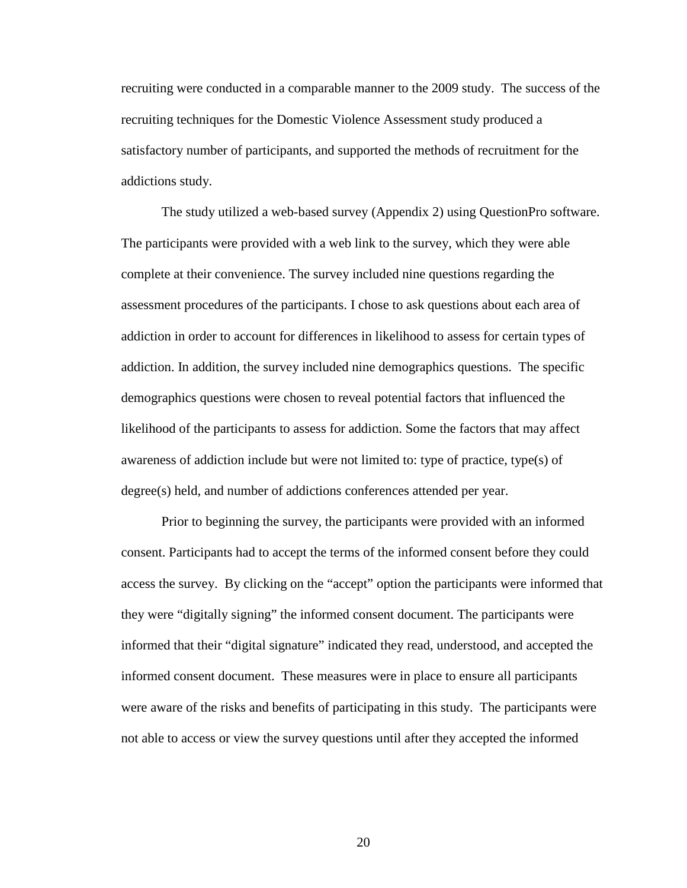recruiting were conducted in a comparable manner to the 2009 study. The success of the recruiting techniques for the Domestic Violence Assessment study produced a satisfactory number of participants, and supported the methods of recruitment for the addictions study.

 The study utilized a web-based survey (Appendix 2) using QuestionPro software. The participants were provided with a web link to the survey, which they were able complete at their convenience. The survey included nine questions regarding the assessment procedures of the participants. I chose to ask questions about each area of addiction in order to account for differences in likelihood to assess for certain types of addiction. In addition, the survey included nine demographics questions. The specific demographics questions were chosen to reveal potential factors that influenced the likelihood of the participants to assess for addiction. Some the factors that may affect awareness of addiction include but were not limited to: type of practice, type(s) of degree(s) held, and number of addictions conferences attended per year.

 Prior to beginning the survey, the participants were provided with an informed consent. Participants had to accept the terms of the informed consent before they could access the survey. By clicking on the "accept" option the participants were informed that they were "digitally signing" the informed consent document. The participants were informed that their "digital signature" indicated they read, understood, and accepted the informed consent document. These measures were in place to ensure all participants were aware of the risks and benefits of participating in this study. The participants were not able to access or view the survey questions until after they accepted the informed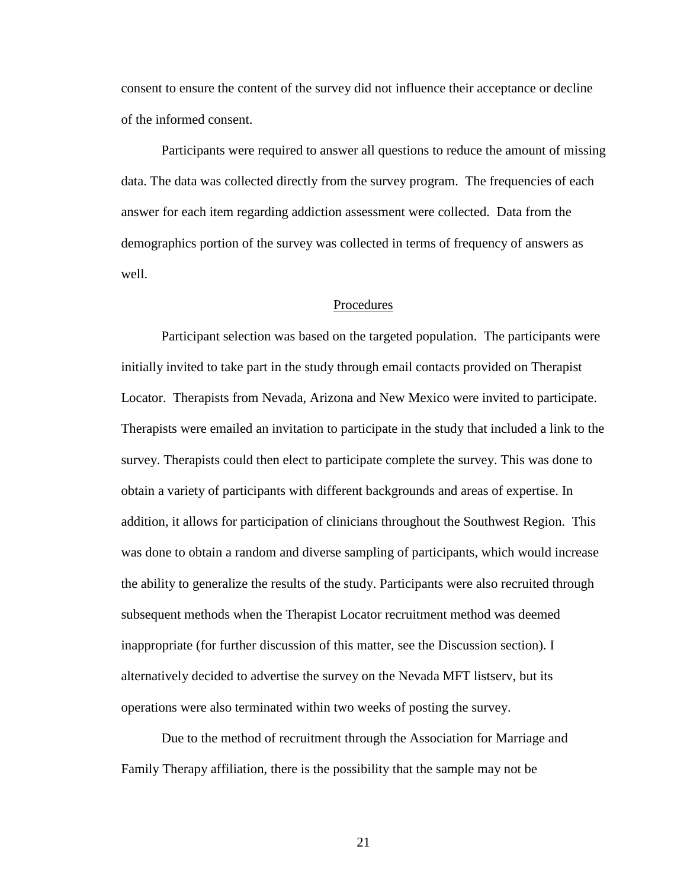consent to ensure the content of the survey did not influence their acceptance or decline of the informed consent.

 Participants were required to answer all questions to reduce the amount of missing data. The data was collected directly from the survey program. The frequencies of each answer for each item regarding addiction assessment were collected. Data from the demographics portion of the survey was collected in terms of frequency of answers as well.

#### Procedures

Participant selection was based on the targeted population. The participants were initially invited to take part in the study through email contacts provided on Therapist Locator. Therapists from Nevada, Arizona and New Mexico were invited to participate. Therapists were emailed an invitation to participate in the study that included a link to the survey. Therapists could then elect to participate complete the survey. This was done to obtain a variety of participants with different backgrounds and areas of expertise. In addition, it allows for participation of clinicians throughout the Southwest Region. This was done to obtain a random and diverse sampling of participants, which would increase the ability to generalize the results of the study. Participants were also recruited through subsequent methods when the Therapist Locator recruitment method was deemed inappropriate (for further discussion of this matter, see the Discussion section). I alternatively decided to advertise the survey on the Nevada MFT listserv, but its operations were also terminated within two weeks of posting the survey.

 Due to the method of recruitment through the Association for Marriage and Family Therapy affiliation, there is the possibility that the sample may not be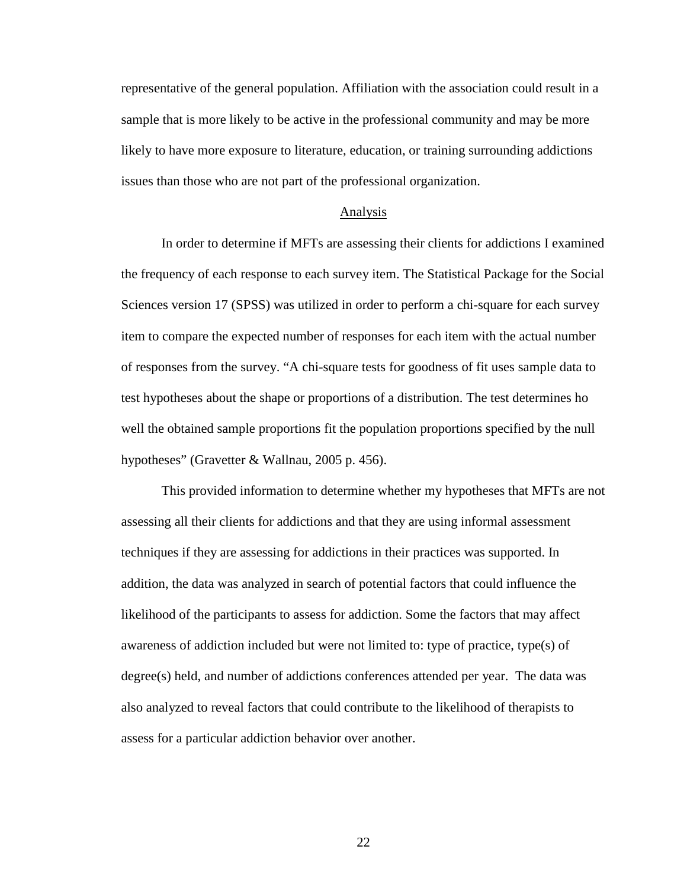representative of the general population. Affiliation with the association could result in a sample that is more likely to be active in the professional community and may be more likely to have more exposure to literature, education, or training surrounding addictions issues than those who are not part of the professional organization.

#### Analysis

In order to determine if MFTs are assessing their clients for addictions I examined the frequency of each response to each survey item. The Statistical Package for the Social Sciences version 17 (SPSS) was utilized in order to perform a chi-square for each survey item to compare the expected number of responses for each item with the actual number of responses from the survey. "A chi-square tests for goodness of fit uses sample data to test hypotheses about the shape or proportions of a distribution. The test determines ho well the obtained sample proportions fit the population proportions specified by the null hypotheses" (Gravetter & Wallnau, 2005 p. 456).

This provided information to determine whether my hypotheses that MFTs are not assessing all their clients for addictions and that they are using informal assessment techniques if they are assessing for addictions in their practices was supported. In addition, the data was analyzed in search of potential factors that could influence the likelihood of the participants to assess for addiction. Some the factors that may affect awareness of addiction included but were not limited to: type of practice, type(s) of degree(s) held, and number of addictions conferences attended per year. The data was also analyzed to reveal factors that could contribute to the likelihood of therapists to assess for a particular addiction behavior over another.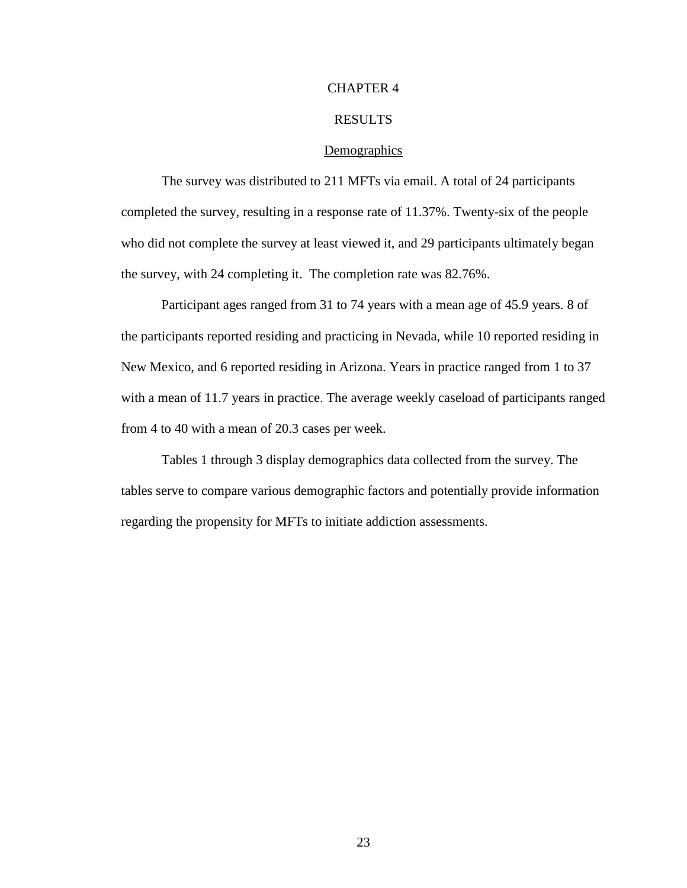## CHAPTER 4

# RESULTS

#### **Demographics**

 The survey was distributed to 211 MFTs via email. A total of 24 participants completed the survey, resulting in a response rate of 11.37%. Twenty-six of the people who did not complete the survey at least viewed it, and 29 participants ultimately began the survey, with 24 completing it. The completion rate was 82.76%.

 Participant ages ranged from 31 to 74 years with a mean age of 45.9 years. 8 of the participants reported residing and practicing in Nevada, while 10 reported residing in New Mexico, and 6 reported residing in Arizona. Years in practice ranged from 1 to 37 with a mean of 11.7 years in practice. The average weekly caseload of participants ranged from 4 to 40 with a mean of 20.3 cases per week.

 Tables 1 through 3 display demographics data collected from the survey. The tables serve to compare various demographic factors and potentially provide information regarding the propensity for MFTs to initiate addiction assessments.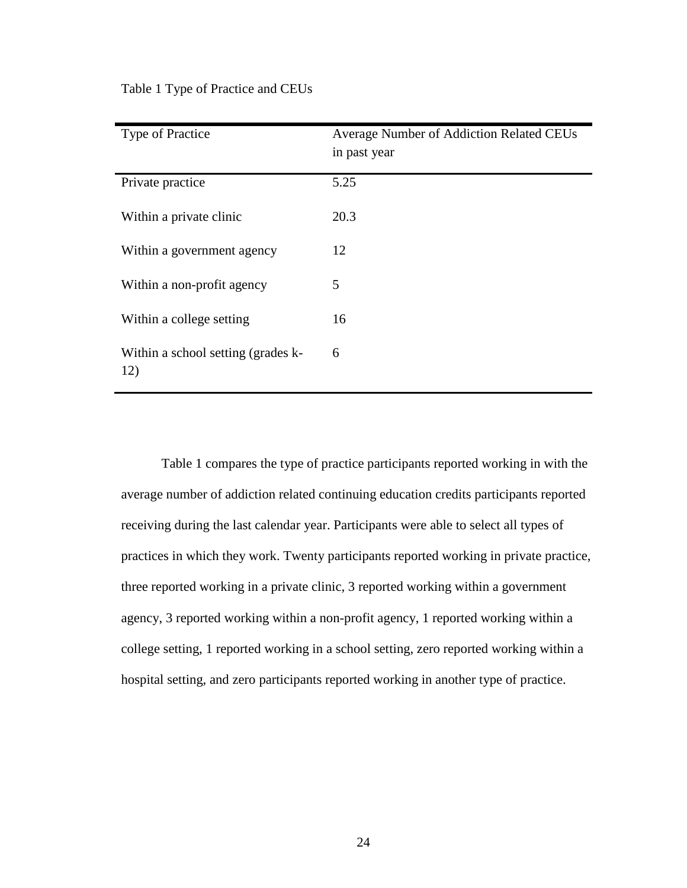| <b>Type of Practice</b>                   | <b>Average Number of Addiction Related CEUs</b><br>in past year |
|-------------------------------------------|-----------------------------------------------------------------|
| Private practice                          | 5.25                                                            |
| Within a private clinic                   | 20.3                                                            |
| Within a government agency                | 12                                                              |
| Within a non-profit agency                | 5                                                               |
| Within a college setting                  | 16                                                              |
| Within a school setting (grades k-<br>12) | 6                                                               |

Table 1 Type of Practice and CEUs

Table 1 compares the type of practice participants reported working in with the average number of addiction related continuing education credits participants reported receiving during the last calendar year. Participants were able to select all types of practices in which they work. Twenty participants reported working in private practice, three reported working in a private clinic, 3 reported working within a government agency, 3 reported working within a non-profit agency, 1 reported working within a college setting, 1 reported working in a school setting, zero reported working within a hospital setting, and zero participants reported working in another type of practice.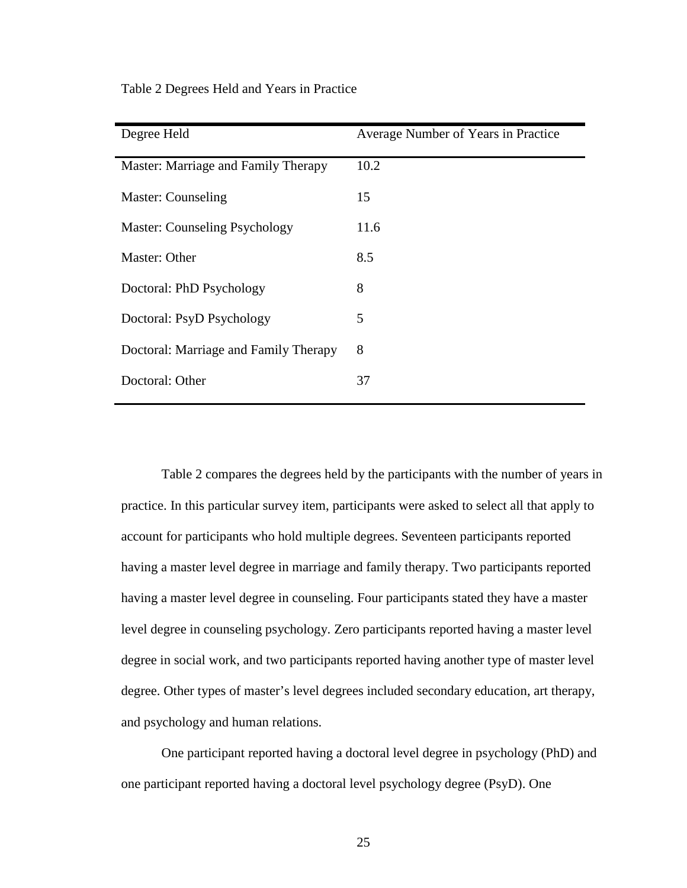| Degree Held                           | Average Number of Years in Practice |
|---------------------------------------|-------------------------------------|
| Master: Marriage and Family Therapy   | 10.2                                |
| Master: Counseling                    | 15                                  |
| <b>Master: Counseling Psychology</b>  | 11.6                                |
| Master: Other                         | 8.5                                 |
| Doctoral: PhD Psychology              | 8                                   |
| Doctoral: PsyD Psychology             | 5                                   |
| Doctoral: Marriage and Family Therapy | 8                                   |
| Doctoral: Other                       | 37                                  |

Table 2 Degrees Held and Years in Practice

Table 2 compares the degrees held by the participants with the number of years in practice. In this particular survey item, participants were asked to select all that apply to account for participants who hold multiple degrees. Seventeen participants reported having a master level degree in marriage and family therapy. Two participants reported having a master level degree in counseling. Four participants stated they have a master level degree in counseling psychology. Zero participants reported having a master level degree in social work, and two participants reported having another type of master level degree. Other types of master's level degrees included secondary education, art therapy, and psychology and human relations.

One participant reported having a doctoral level degree in psychology (PhD) and one participant reported having a doctoral level psychology degree (PsyD). One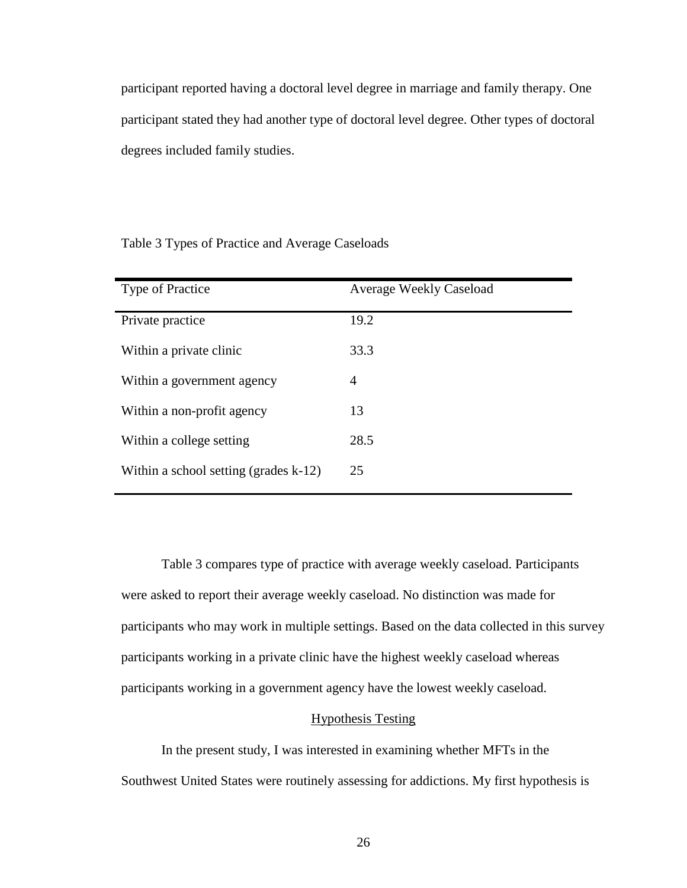participant reported having a doctoral level degree in marriage and family therapy. One participant stated they had another type of doctoral level degree. Other types of doctoral degrees included family studies.

Table 3 Types of Practice and Average Caseloads

| <b>Type of Practice</b>                  | <b>Average Weekly Caseload</b> |
|------------------------------------------|--------------------------------|
| Private practice                         | 19.2                           |
| Within a private clinic                  | 33.3                           |
| Within a government agency               | $\overline{4}$                 |
| Within a non-profit agency               | 13                             |
| Within a college setting                 | 28.5                           |
| Within a school setting (grades $k-12$ ) | 25                             |

Table 3 compares type of practice with average weekly caseload. Participants were asked to report their average weekly caseload. No distinction was made for participants who may work in multiple settings. Based on the data collected in this survey participants working in a private clinic have the highest weekly caseload whereas participants working in a government agency have the lowest weekly caseload.

# Hypothesis Testing

 In the present study, I was interested in examining whether MFTs in the Southwest United States were routinely assessing for addictions. My first hypothesis is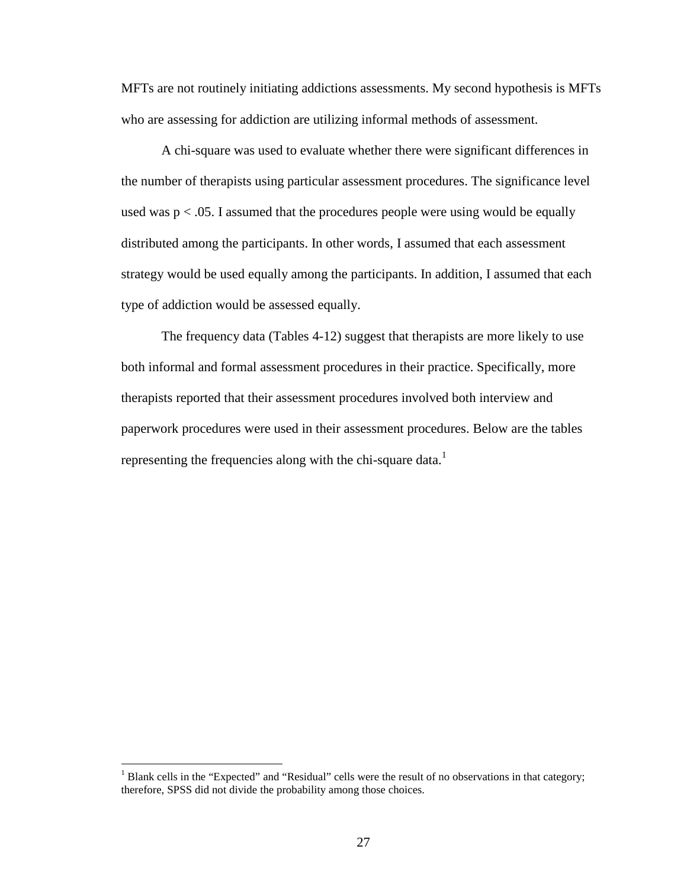MFTs are not routinely initiating addictions assessments. My second hypothesis is MFTs who are assessing for addiction are utilizing informal methods of assessment.

A chi-square was used to evaluate whether there were significant differences in the number of therapists using particular assessment procedures. The significance level used was  $p < 0.05$ . I assumed that the procedures people were using would be equally distributed among the participants. In other words, I assumed that each assessment strategy would be used equally among the participants. In addition, I assumed that each type of addiction would be assessed equally.

The frequency data (Tables 4-12) suggest that therapists are more likely to use both informal and formal assessment procedures in their practice. Specifically, more therapists reported that their assessment procedures involved both interview and paperwork procedures were used in their assessment procedures. Below are the tables representing the frequencies along with the chi-square data.<sup>1</sup>

 $\overline{a}$ 

<sup>&</sup>lt;sup>1</sup> Blank cells in the "Expected" and "Residual" cells were the result of no observations in that category; therefore, SPSS did not divide the probability among those choices.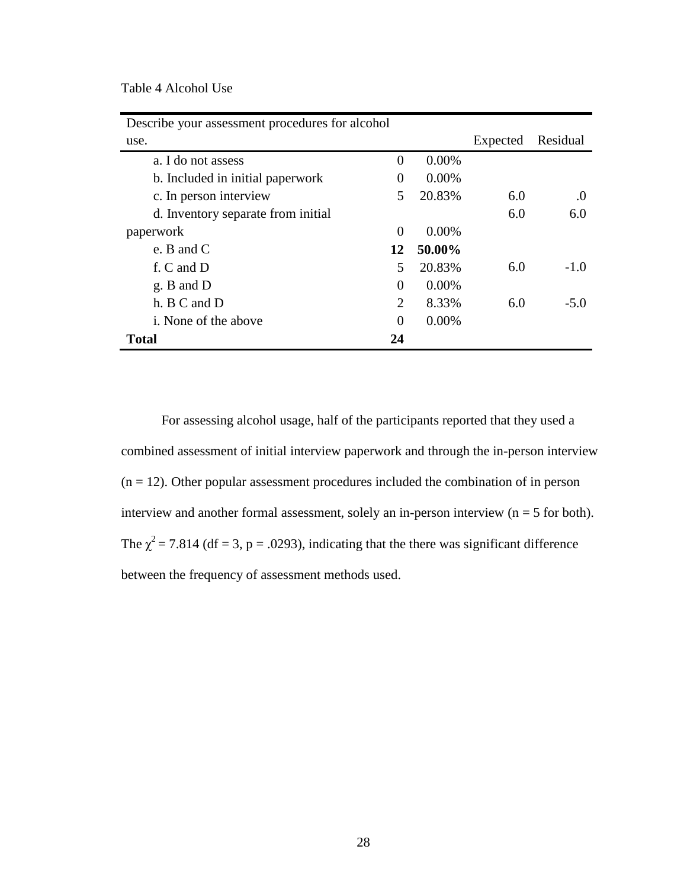Table 4 Alcohol Use

| Describe your assessment procedures for alcohol |                             |          |          |          |
|-------------------------------------------------|-----------------------------|----------|----------|----------|
| use.                                            |                             |          | Expected | Residual |
| a. I do not assess                              | $\Omega$                    | $0.00\%$ |          |          |
| b. Included in initial paperwork                | 0                           | $0.00\%$ |          |          |
| c. In person interview                          | 5                           | 20.83%   | 6.0      | $\Omega$ |
| d. Inventory separate from initial              |                             |          | 6.0      | 6.0      |
| paperwork                                       | $\Omega$                    | $0.00\%$ |          |          |
| e. B and $C$                                    | 12                          | 50.00%   |          |          |
| f. C and D                                      | 5                           | 20.83%   | 6.0      | $-1.0$   |
| g. B and D                                      | 0                           | $0.00\%$ |          |          |
| h. B C and D                                    | $\mathcal{D}_{\mathcal{L}}$ | 8.33%    | 6.0      | $-5.0$   |
| i. None of the above                            | $\theta$                    | $0.00\%$ |          |          |
| <b>Total</b>                                    | 24                          |          |          |          |

For assessing alcohol usage, half of the participants reported that they used a combined assessment of initial interview paperwork and through the in-person interview  $(n = 12)$ . Other popular assessment procedures included the combination of in person interview and another formal assessment, solely an in-person interview ( $n = 5$  for both). The  $\chi^2$  = 7.814 (df = 3, p = .0293), indicating that the there was significant difference between the frequency of assessment methods used.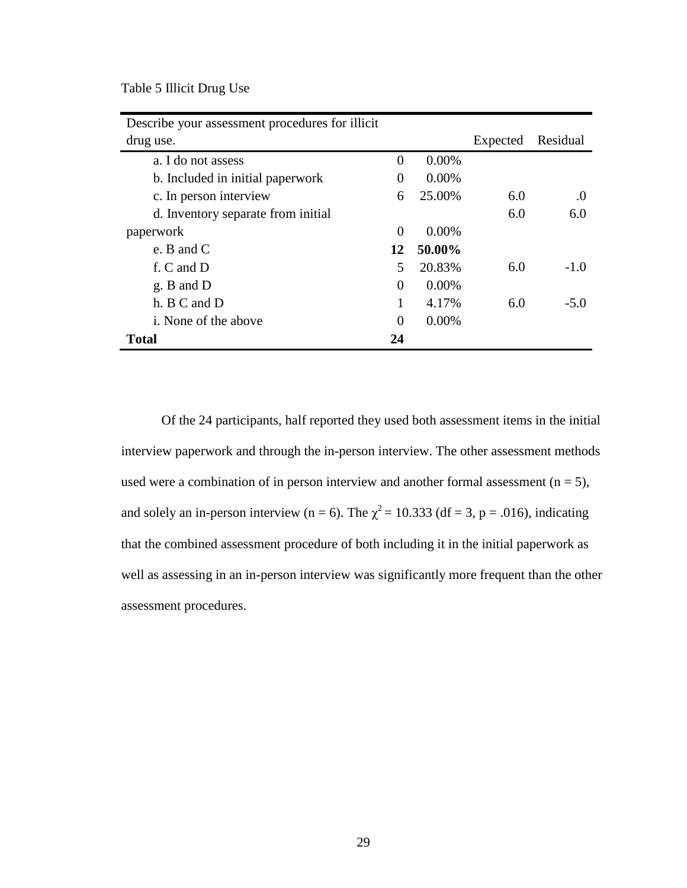Table 5 Illicit Drug Use

| Describe your assessment procedures for illicit |                |          |          |          |
|-------------------------------------------------|----------------|----------|----------|----------|
| drug use.                                       |                |          | Expected | Residual |
| a. I do not assess                              | $\Omega$       | $0.00\%$ |          |          |
| b. Included in initial paperwork                | $\Omega$       | $0.00\%$ |          |          |
| c. In person interview                          | 6              | 25.00%   | 6.0      | $\Omega$ |
| d. Inventory separate from initial              |                |          | 6.0      | 6.0      |
| paperwork                                       | $\overline{0}$ | $0.00\%$ |          |          |
| e. B and $C$                                    | 12             | 50.00%   |          |          |
| f. C and D                                      | 5              | 20.83%   | 6.0      | $-1.0$   |
| g. B and D                                      | $\Omega$       | $0.00\%$ |          |          |
| h. B C and D                                    | 1              | 4.17%    | 6.0      | $-5.0$   |
| <i>i</i> . None of the above                    | $\Omega$       | $0.00\%$ |          |          |
| <b>Total</b>                                    | 24             |          |          |          |

Of the 24 participants, half reported they used both assessment items in the initial interview paperwork and through the in-person interview. The other assessment methods used were a combination of in person interview and another formal assessment  $(n = 5)$ , and solely an in-person interview (n = 6). The  $\chi^2$  = 10.333 (df = 3, p = .016), indicating that the combined assessment procedure of both including it in the initial paperwork as well as assessing in an in-person interview was significantly more frequent than the other assessment procedures.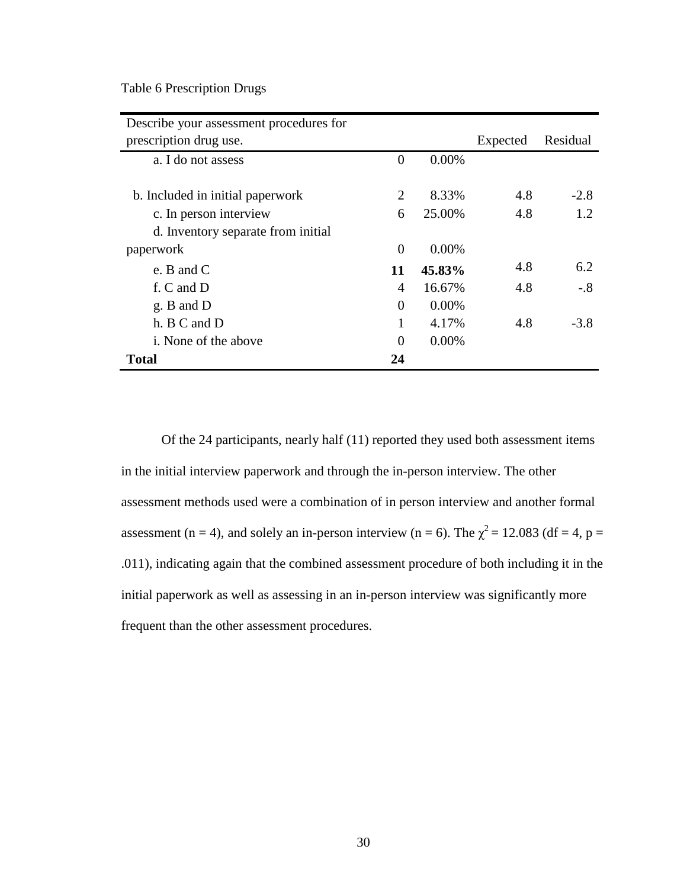Table 6 Prescription Drugs

| Describe your assessment procedures for |          |          |          |          |
|-----------------------------------------|----------|----------|----------|----------|
| prescription drug use.                  |          |          | Expected | Residual |
| a. I do not assess                      | $\theta$ | 0.00%    |          |          |
|                                         |          |          |          |          |
| b. Included in initial paperwork        | 2        | 8.33%    | 4.8      | $-2.8$   |
| c. In person interview                  | 6        | 25.00%   | 4.8      | 1.2      |
| d. Inventory separate from initial      |          |          |          |          |
| paperwork                               | $\Omega$ | $0.00\%$ |          |          |
| e. B and $C$                            | 11       | 45.83%   | 4.8      | 6.2      |
| f. C and D                              | 4        | 16.67%   | 4.8      | $-.8$    |
| $g. B$ and $D$                          | $\Omega$ | $0.00\%$ |          |          |
| h. B C and D                            | 1        | 4.17%    | 4.8      | $-3.8$   |
| <i>i</i> . None of the above            | $\Omega$ | $0.00\%$ |          |          |
| <b>Total</b>                            | 24       |          |          |          |

Of the 24 participants, nearly half (11) reported they used both assessment items in the initial interview paperwork and through the in-person interview. The other assessment methods used were a combination of in person interview and another formal assessment (n = 4), and solely an in-person interview (n = 6). The  $\chi^2$  = 12.083 (df = 4, p = .011), indicating again that the combined assessment procedure of both including it in the initial paperwork as well as assessing in an in-person interview was significantly more frequent than the other assessment procedures.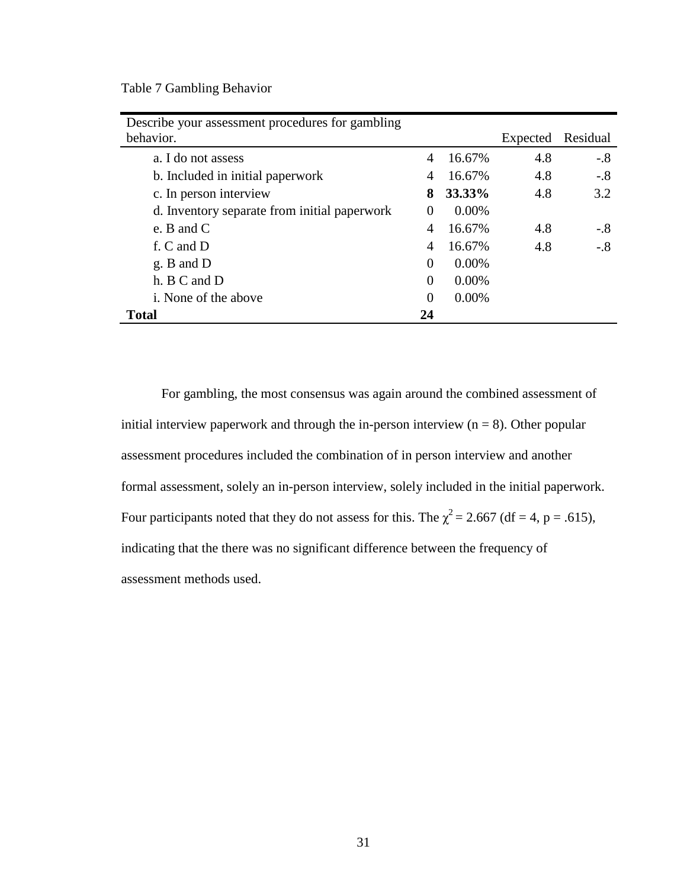Table 7 Gambling Behavior

| Describe your assessment procedures for gambling |          |          |          |          |
|--------------------------------------------------|----------|----------|----------|----------|
| behavior.                                        |          |          | Expected | Residual |
| a. I do not assess                               | 4        | 16.67%   | 4.8      | $-.8$    |
| b. Included in initial paperwork                 | 4        | 16.67%   | 4.8      | $-.8$    |
| c. In person interview                           | 8        | 33.33%   | 4.8      | 3.2      |
| d. Inventory separate from initial paperwork     | $\Omega$ | $0.00\%$ |          |          |
| e. B and $C$                                     | 4        | 16.67%   | 4.8      | $-.8$    |
| f. C and D                                       | 4        | 16.67%   | 4.8      | $-.8$    |
| g. B and D                                       | 0        | $0.00\%$ |          |          |
| h. B C and D                                     | 0        | $0.00\%$ |          |          |
| <i>i</i> . None of the above                     | 0        | $0.00\%$ |          |          |
| <b>Total</b>                                     | 24       |          |          |          |

For gambling, the most consensus was again around the combined assessment of initial interview paperwork and through the in-person interview  $(n = 8)$ . Other popular assessment procedures included the combination of in person interview and another formal assessment, solely an in-person interview, solely included in the initial paperwork. Four participants noted that they do not assess for this. The  $\chi^2 = 2.667$  (df = 4, p = .615), indicating that the there was no significant difference between the frequency of assessment methods used.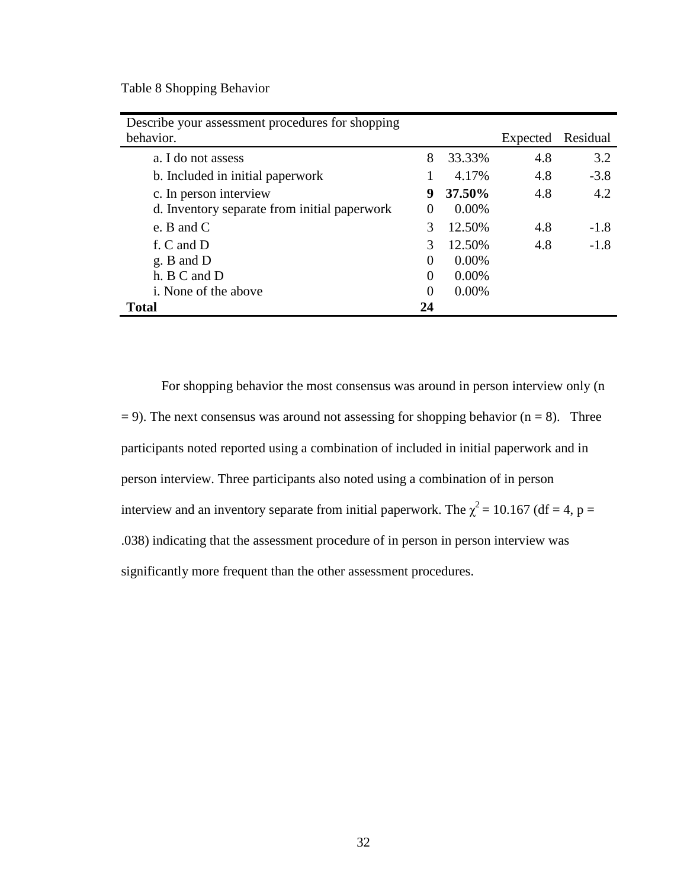Table 8 Shopping Behavior

| Describe your assessment procedures for shopping |               |          |          |          |
|--------------------------------------------------|---------------|----------|----------|----------|
| behavior.                                        |               |          | Expected | Residual |
| a. I do not assess                               | 8             | 33.33%   | 4.8      | 3.2      |
| b. Included in initial paperwork                 |               | 4.17%    | 4.8      | $-3.8$   |
| c. In person interview                           | 9             | 37.50%   | 4.8      | 4.2      |
| d. Inventory separate from initial paperwork     | $\Omega$      | $0.00\%$ |          |          |
| e. B and $C$                                     | $\mathcal{F}$ | 12.50%   | 4.8      | $-1.8$   |
| f. C and D                                       | 3             | 12.50%   | 4.8      | $-1.8$   |
| g. B and D                                       | $\Omega$      | $0.00\%$ |          |          |
| h. B C and D                                     | $\Omega$      | $0.00\%$ |          |          |
| <i>i</i> . None of the above                     | $\theta$      | $0.00\%$ |          |          |
| <b>Total</b>                                     | 24            |          |          |          |

For shopping behavior the most consensus was around in person interview only (n  $= 9$ ). The next consensus was around not assessing for shopping behavior (n = 8). Three participants noted reported using a combination of included in initial paperwork and in person interview. Three participants also noted using a combination of in person interview and an inventory separate from initial paperwork. The  $\chi^2$  = 10.167 (df = 4, p = .038) indicating that the assessment procedure of in person in person interview was significantly more frequent than the other assessment procedures.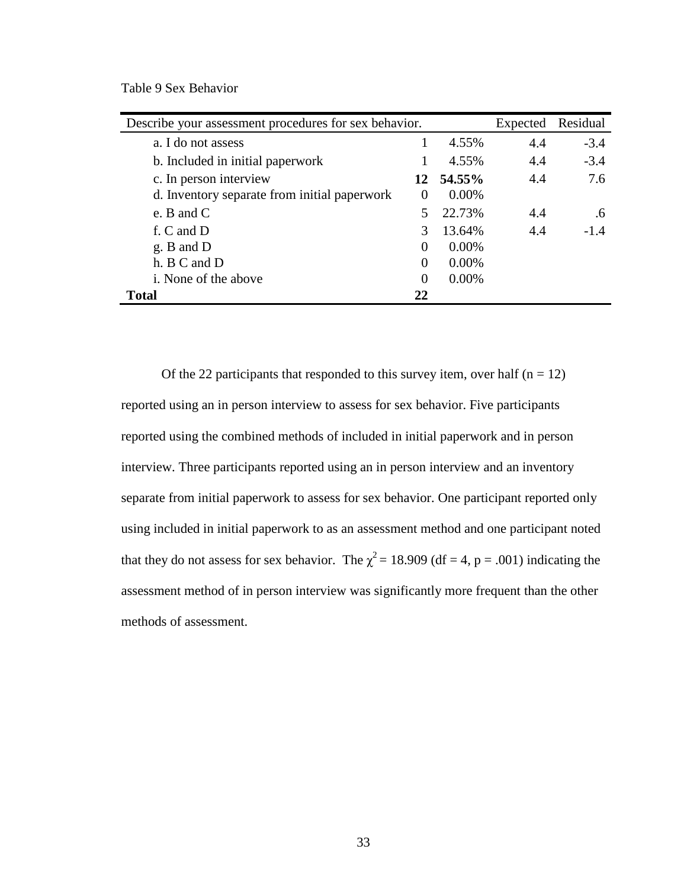Table 9 Sex Behavior

| Describe your assessment procedures for sex behavior. |               | Expected | Residual |         |
|-------------------------------------------------------|---------------|----------|----------|---------|
| a. I do not assess                                    |               | 4.55%    | 4.4      | $-3.4$  |
| b. Included in initial paperwork                      |               | 4.55%    | 4.4      | $-3.4$  |
| c. In person interview                                | 12            | 54.55%   | 4.4      | 7.6     |
| d. Inventory separate from initial paperwork          | $\Omega$      | $0.00\%$ |          |         |
| e. B and $C$                                          |               | 22.73%   | 4.4      | $.6 \,$ |
| f. C and D                                            | $\mathcal{R}$ | 13.64%   | 4.4      | $-1.4$  |
| g. B and D                                            | $\Omega$      | 0.00%    |          |         |
| h. B C and D                                          | $\Omega$      | 0.00%    |          |         |
| <i>i</i> . None of the above                          | $\Omega$      | 0.00%    |          |         |
| <b>Total</b>                                          | 22            |          |          |         |

Of the 22 participants that responded to this survey item, over half  $(n = 12)$ reported using an in person interview to assess for sex behavior. Five participants reported using the combined methods of included in initial paperwork and in person interview. Three participants reported using an in person interview and an inventory separate from initial paperwork to assess for sex behavior. One participant reported only using included in initial paperwork to as an assessment method and one participant noted that they do not assess for sex behavior. The  $\chi^2 = 18.909$  (df = 4, p = .001) indicating the assessment method of in person interview was significantly more frequent than the other methods of assessment.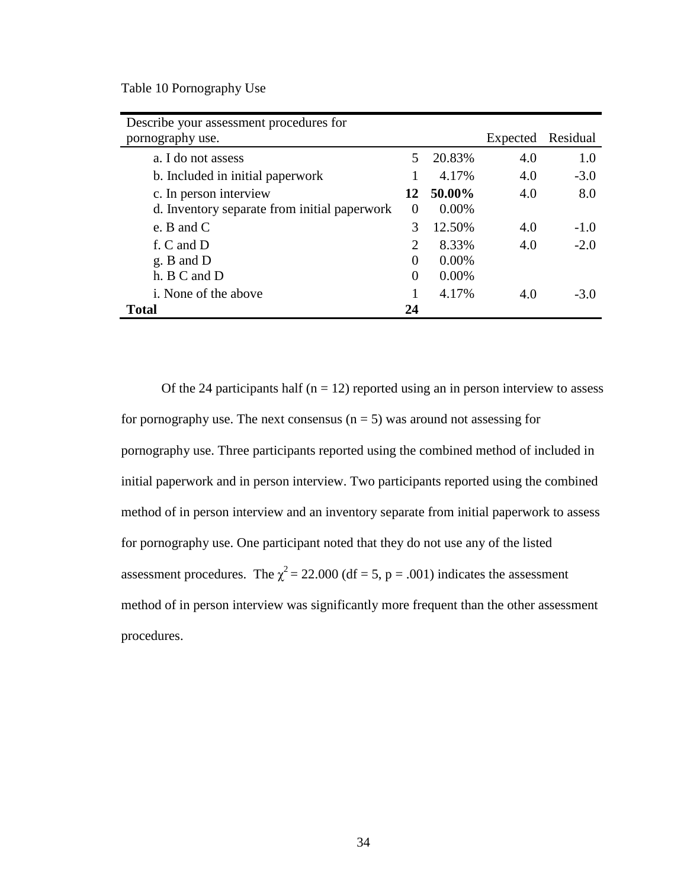Table 10 Pornography Use

| Describe your assessment procedures for      |                |          |          |          |
|----------------------------------------------|----------------|----------|----------|----------|
| pornography use.                             |                |          | Expected | Residual |
| a. I do not assess                           | 5              | 20.83%   | 4.0      | 1.0      |
| b. Included in initial paperwork             |                | 4.17%    | 4.0      | $-3.0$   |
| c. In person interview                       | 12             | 50.00%   | 4.0      | 8.0      |
| d. Inventory separate from initial paperwork | $\Omega$       | $0.00\%$ |          |          |
| e. B and $C$                                 | 3              | 12.50%   | 4.0      | $-1.0$   |
| f. C and D                                   | $\overline{2}$ | 8.33%    | 4.0      | $-2.0$   |
| g. B and D                                   | 0              | $0.00\%$ |          |          |
| h. B C and D                                 | $\theta$       | $0.00\%$ |          |          |
| <i>i</i> . None of the above                 |                | 4.17%    | 4.0      | $-3.0$   |
| <b>Total</b>                                 | 24             |          |          |          |

Of the 24 participants half ( $n = 12$ ) reported using an in person interview to assess for pornography use. The next consensus  $(n = 5)$  was around not assessing for pornography use. Three participants reported using the combined method of included in initial paperwork and in person interview. Two participants reported using the combined method of in person interview and an inventory separate from initial paperwork to assess for pornography use. One participant noted that they do not use any of the listed assessment procedures. The  $\chi^2$  = 22.000 (df = 5, p = .001) indicates the assessment method of in person interview was significantly more frequent than the other assessment procedures.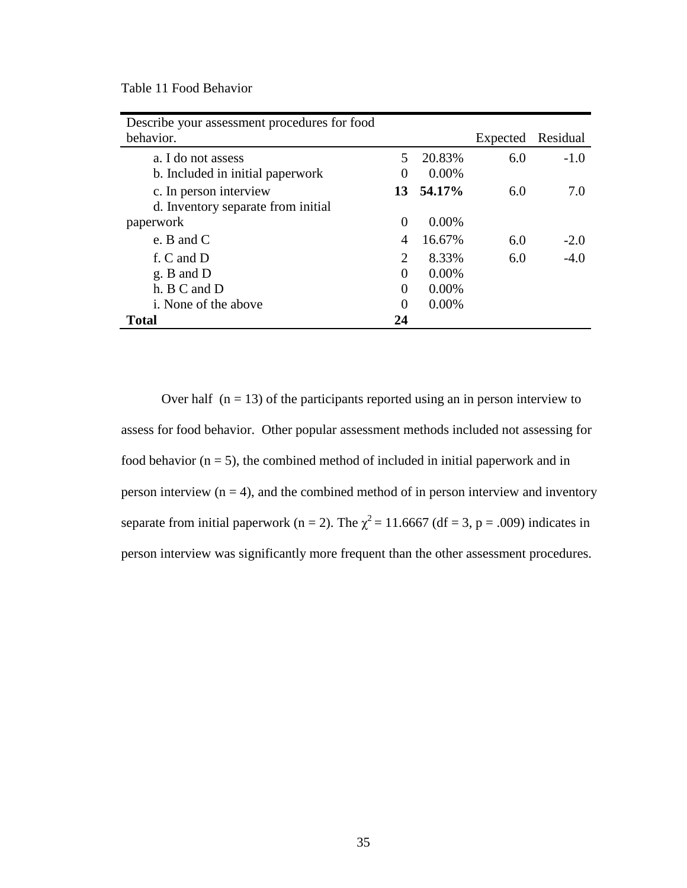Table 11 Food Behavior

| Describe your assessment procedures for food |          |          |          |          |
|----------------------------------------------|----------|----------|----------|----------|
| behavior.                                    |          |          | Expected | Residual |
| a. I do not assess                           | 5        | 20.83%   | 6.0      | $-1.0$   |
| b. Included in initial paperwork             | $\theta$ | $0.00\%$ |          |          |
| c. In person interview                       | 13       | 54.17%   | 6.0      | 7.0      |
| d. Inventory separate from initial           |          |          |          |          |
| paperwork                                    | $\Omega$ | $0.00\%$ |          |          |
| e. B and $C$                                 | 4        | 16.67%   | 6.0      | $-2.0$   |
| f. C and D                                   | 2        | 8.33%    | 6.0      | $-4.0$   |
| g. B and D                                   | 0        | $0.00\%$ |          |          |
| h. B C and D                                 | 0        | 0.00%    |          |          |
| <i>i</i> . None of the above                 | $\Omega$ | $0.00\%$ |          |          |
| <b>Total</b>                                 | 24       |          |          |          |

Over half  $(n = 13)$  of the participants reported using an in person interview to assess for food behavior. Other popular assessment methods included not assessing for food behavior  $(n = 5)$ , the combined method of included in initial paperwork and in person interview  $(n = 4)$ , and the combined method of in person interview and inventory separate from initial paperwork (n = 2). The  $\chi^2$  = 11.6667 (df = 3, p = .009) indicates in person interview was significantly more frequent than the other assessment procedures.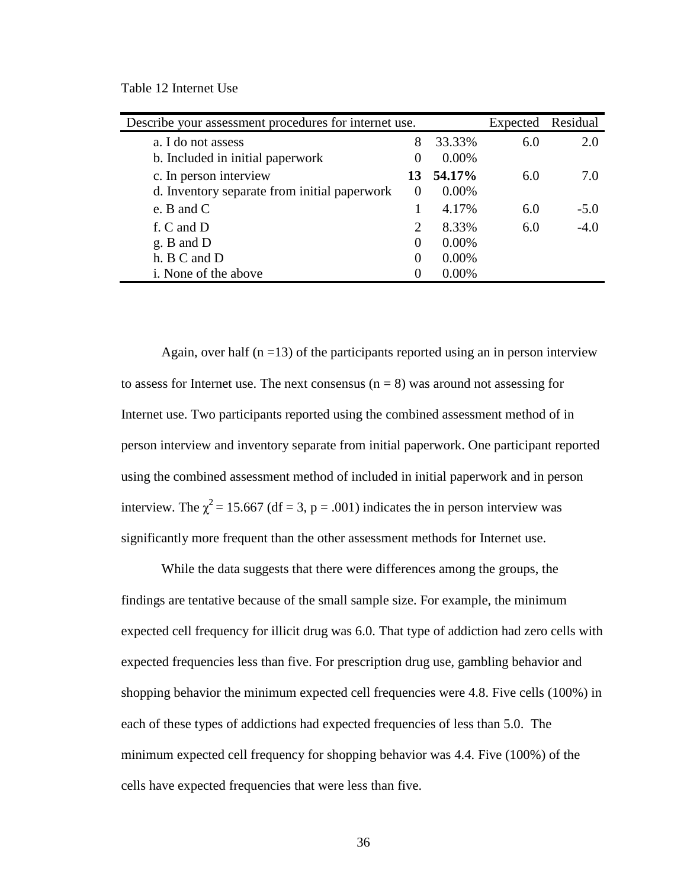Table 12 Internet Use

| Describe your assessment procedures for internet use. |          |          | Expected | Residual |
|-------------------------------------------------------|----------|----------|----------|----------|
| a. I do not assess                                    | 8        | 33.33%   | 6.0      | 2.0      |
| b. Included in initial paperwork                      | $\theta$ | 0.00%    |          |          |
| c. In person interview                                | 13       | 54.17%   | 6.0      | 7.0      |
| d. Inventory separate from initial paperwork          | $\theta$ | $0.00\%$ |          |          |
| e. B and $C$                                          |          | 4.17%    | 6.0      | $-5.0$   |
| f. C and D                                            | 2        | 8.33%    | 6.0      | $-4.0$   |
| $g. B$ and $D$                                        | $\Omega$ | 0.00%    |          |          |
| h. B C and D                                          | $\Omega$ | 0.00%    |          |          |
| i. None of the above                                  | $\Omega$ | 0.00%    |          |          |

Again, over half  $(n = 13)$  of the participants reported using an in person interview to assess for Internet use. The next consensus  $(n = 8)$  was around not assessing for Internet use. Two participants reported using the combined assessment method of in person interview and inventory separate from initial paperwork. One participant reported using the combined assessment method of included in initial paperwork and in person interview. The  $\chi^2$  = 15.667 (df = 3, p = .001) indicates the in person interview was significantly more frequent than the other assessment methods for Internet use.

While the data suggests that there were differences among the groups, the findings are tentative because of the small sample size. For example, the minimum expected cell frequency for illicit drug was 6.0. That type of addiction had zero cells with expected frequencies less than five. For prescription drug use, gambling behavior and shopping behavior the minimum expected cell frequencies were 4.8. Five cells (100%) in each of these types of addictions had expected frequencies of less than 5.0. The minimum expected cell frequency for shopping behavior was 4.4. Five (100%) of the cells have expected frequencies that were less than five.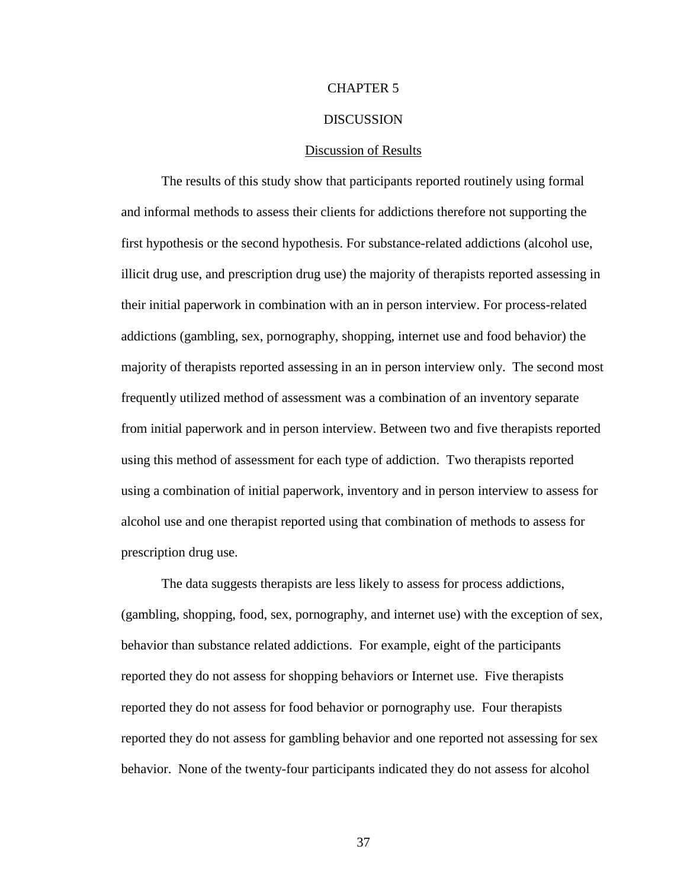## CHAPTER 5

#### **DISCUSSION**

#### Discussion of Results

The results of this study show that participants reported routinely using formal and informal methods to assess their clients for addictions therefore not supporting the first hypothesis or the second hypothesis. For substance-related addictions (alcohol use, illicit drug use, and prescription drug use) the majority of therapists reported assessing in their initial paperwork in combination with an in person interview. For process-related addictions (gambling, sex, pornography, shopping, internet use and food behavior) the majority of therapists reported assessing in an in person interview only. The second most frequently utilized method of assessment was a combination of an inventory separate from initial paperwork and in person interview. Between two and five therapists reported using this method of assessment for each type of addiction. Two therapists reported using a combination of initial paperwork, inventory and in person interview to assess for alcohol use and one therapist reported using that combination of methods to assess for prescription drug use.

 The data suggests therapists are less likely to assess for process addictions, (gambling, shopping, food, sex, pornography, and internet use) with the exception of sex, behavior than substance related addictions. For example, eight of the participants reported they do not assess for shopping behaviors or Internet use. Five therapists reported they do not assess for food behavior or pornography use. Four therapists reported they do not assess for gambling behavior and one reported not assessing for sex behavior. None of the twenty-four participants indicated they do not assess for alcohol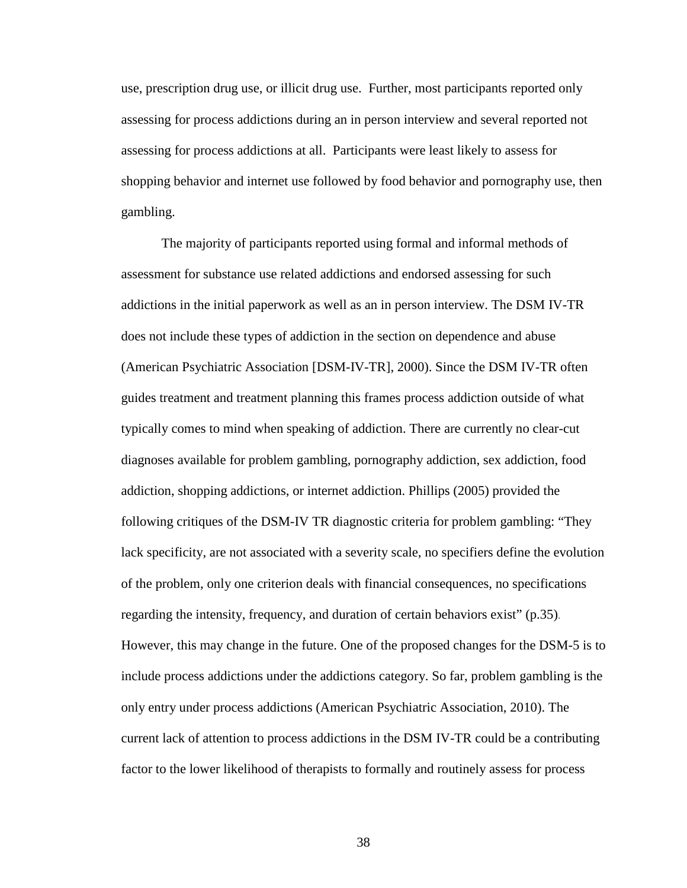use, prescription drug use, or illicit drug use. Further, most participants reported only assessing for process addictions during an in person interview and several reported not assessing for process addictions at all. Participants were least likely to assess for shopping behavior and internet use followed by food behavior and pornography use, then gambling.

 The majority of participants reported using formal and informal methods of assessment for substance use related addictions and endorsed assessing for such addictions in the initial paperwork as well as an in person interview. The DSM IV-TR does not include these types of addiction in the section on dependence and abuse (American Psychiatric Association [DSM-IV-TR], 2000). Since the DSM IV-TR often guides treatment and treatment planning this frames process addiction outside of what typically comes to mind when speaking of addiction. There are currently no clear-cut diagnoses available for problem gambling, pornography addiction, sex addiction, food addiction, shopping addictions, or internet addiction. Phillips (2005) provided the following critiques of the DSM-IV TR diagnostic criteria for problem gambling: "They lack specificity, are not associated with a severity scale, no specifiers define the evolution of the problem, only one criterion deals with financial consequences, no specifications regarding the intensity, frequency, and duration of certain behaviors exist" (p.35). However, this may change in the future. One of the proposed changes for the DSM-5 is to include process addictions under the addictions category. So far, problem gambling is the only entry under process addictions (American Psychiatric Association, 2010). The current lack of attention to process addictions in the DSM IV-TR could be a contributing factor to the lower likelihood of therapists to formally and routinely assess for process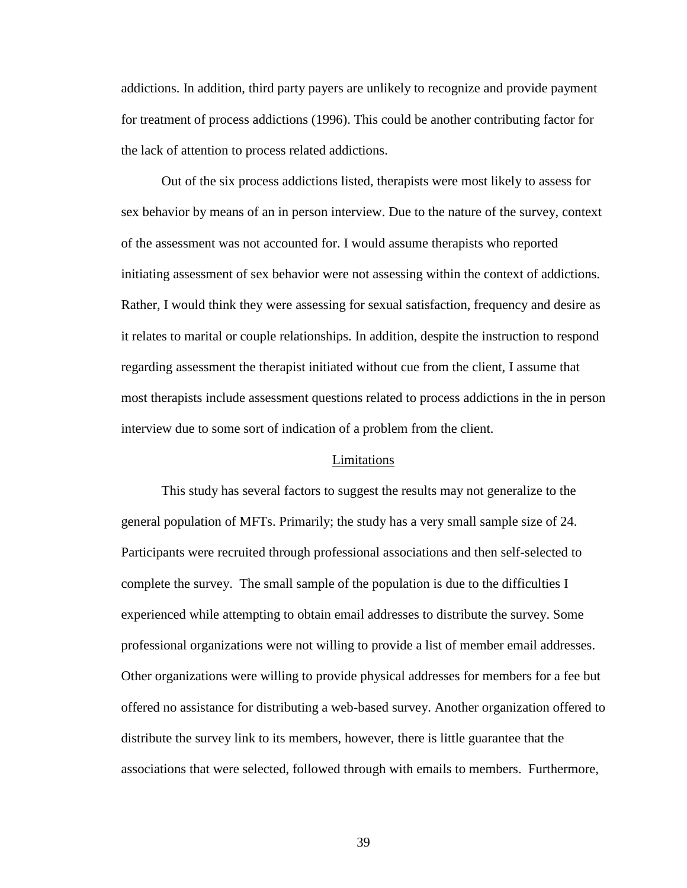addictions. In addition, third party payers are unlikely to recognize and provide payment for treatment of process addictions (1996). This could be another contributing factor for the lack of attention to process related addictions.

Out of the six process addictions listed, therapists were most likely to assess for sex behavior by means of an in person interview. Due to the nature of the survey, context of the assessment was not accounted for. I would assume therapists who reported initiating assessment of sex behavior were not assessing within the context of addictions. Rather, I would think they were assessing for sexual satisfaction, frequency and desire as it relates to marital or couple relationships. In addition, despite the instruction to respond regarding assessment the therapist initiated without cue from the client, I assume that most therapists include assessment questions related to process addictions in the in person interview due to some sort of indication of a problem from the client.

#### Limitations

 This study has several factors to suggest the results may not generalize to the general population of MFTs. Primarily; the study has a very small sample size of 24. Participants were recruited through professional associations and then self-selected to complete the survey. The small sample of the population is due to the difficulties I experienced while attempting to obtain email addresses to distribute the survey. Some professional organizations were not willing to provide a list of member email addresses. Other organizations were willing to provide physical addresses for members for a fee but offered no assistance for distributing a web-based survey. Another organization offered to distribute the survey link to its members, however, there is little guarantee that the associations that were selected, followed through with emails to members. Furthermore,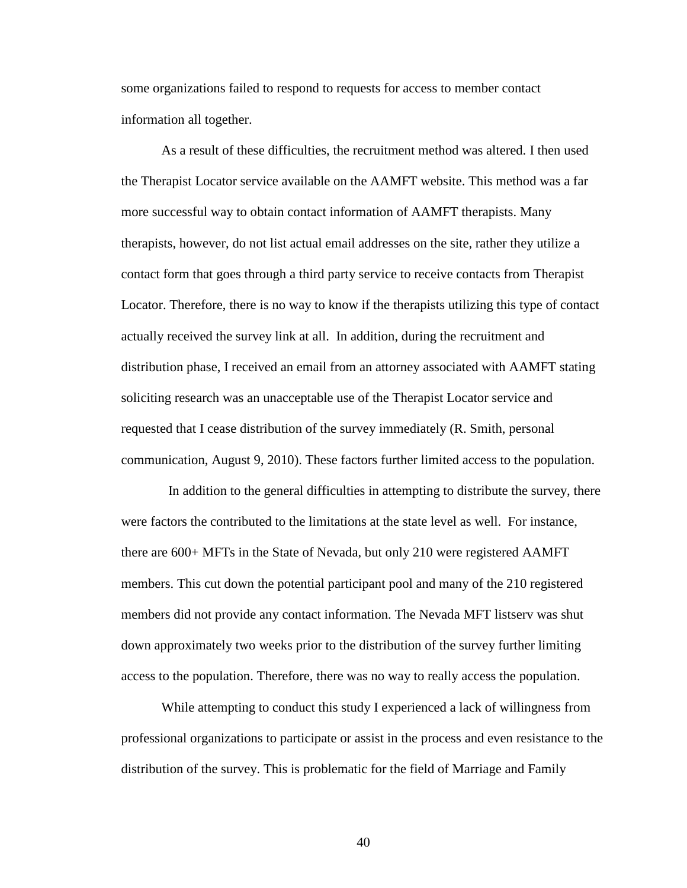some organizations failed to respond to requests for access to member contact information all together.

As a result of these difficulties, the recruitment method was altered. I then used the Therapist Locator service available on the AAMFT website. This method was a far more successful way to obtain contact information of AAMFT therapists. Many therapists, however, do not list actual email addresses on the site, rather they utilize a contact form that goes through a third party service to receive contacts from Therapist Locator. Therefore, there is no way to know if the therapists utilizing this type of contact actually received the survey link at all. In addition, during the recruitment and distribution phase, I received an email from an attorney associated with AAMFT stating soliciting research was an unacceptable use of the Therapist Locator service and requested that I cease distribution of the survey immediately (R. Smith, personal communication, August 9, 2010). These factors further limited access to the population.

 In addition to the general difficulties in attempting to distribute the survey, there were factors the contributed to the limitations at the state level as well. For instance, there are 600+ MFTs in the State of Nevada, but only 210 were registered AAMFT members. This cut down the potential participant pool and many of the 210 registered members did not provide any contact information. The Nevada MFT listserv was shut down approximately two weeks prior to the distribution of the survey further limiting access to the population. Therefore, there was no way to really access the population.

While attempting to conduct this study I experienced a lack of willingness from professional organizations to participate or assist in the process and even resistance to the distribution of the survey. This is problematic for the field of Marriage and Family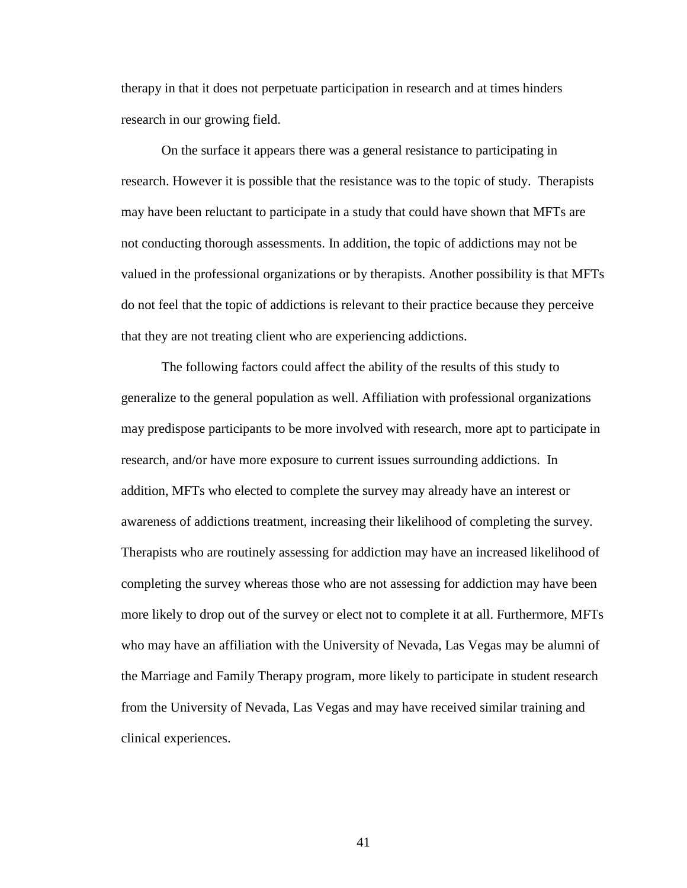therapy in that it does not perpetuate participation in research and at times hinders research in our growing field.

On the surface it appears there was a general resistance to participating in research. However it is possible that the resistance was to the topic of study. Therapists may have been reluctant to participate in a study that could have shown that MFTs are not conducting thorough assessments. In addition, the topic of addictions may not be valued in the professional organizations or by therapists. Another possibility is that MFTs do not feel that the topic of addictions is relevant to their practice because they perceive that they are not treating client who are experiencing addictions.

The following factors could affect the ability of the results of this study to generalize to the general population as well. Affiliation with professional organizations may predispose participants to be more involved with research, more apt to participate in research, and/or have more exposure to current issues surrounding addictions. In addition, MFTs who elected to complete the survey may already have an interest or awareness of addictions treatment, increasing their likelihood of completing the survey. Therapists who are routinely assessing for addiction may have an increased likelihood of completing the survey whereas those who are not assessing for addiction may have been more likely to drop out of the survey or elect not to complete it at all. Furthermore, MFTs who may have an affiliation with the University of Nevada, Las Vegas may be alumni of the Marriage and Family Therapy program, more likely to participate in student research from the University of Nevada, Las Vegas and may have received similar training and clinical experiences.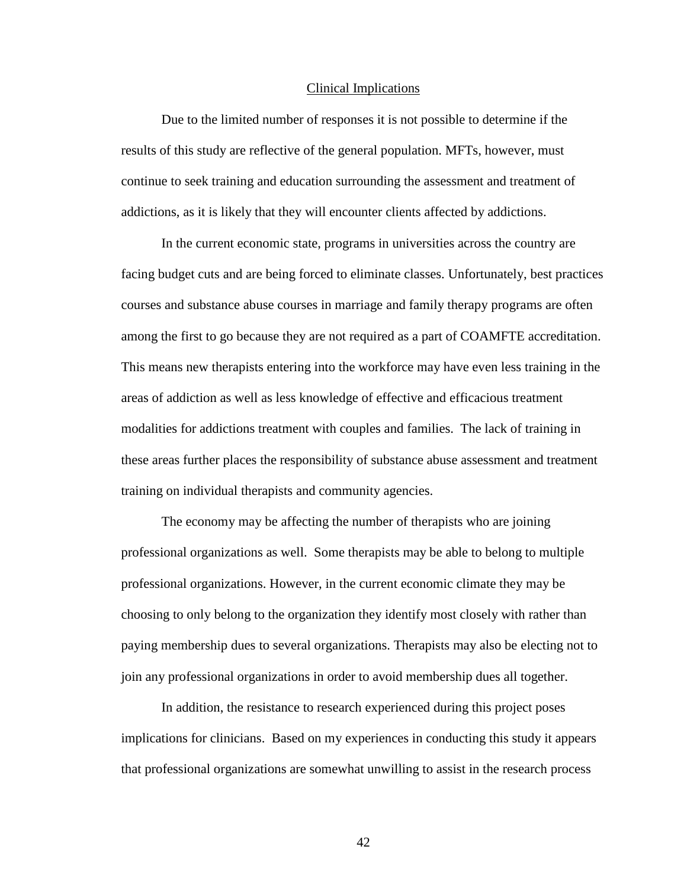#### Clinical Implications

 Due to the limited number of responses it is not possible to determine if the results of this study are reflective of the general population. MFTs, however, must continue to seek training and education surrounding the assessment and treatment of addictions, as it is likely that they will encounter clients affected by addictions.

 In the current economic state, programs in universities across the country are facing budget cuts and are being forced to eliminate classes. Unfortunately, best practices courses and substance abuse courses in marriage and family therapy programs are often among the first to go because they are not required as a part of COAMFTE accreditation. This means new therapists entering into the workforce may have even less training in the areas of addiction as well as less knowledge of effective and efficacious treatment modalities for addictions treatment with couples and families. The lack of training in these areas further places the responsibility of substance abuse assessment and treatment training on individual therapists and community agencies.

 The economy may be affecting the number of therapists who are joining professional organizations as well. Some therapists may be able to belong to multiple professional organizations. However, in the current economic climate they may be choosing to only belong to the organization they identify most closely with rather than paying membership dues to several organizations. Therapists may also be electing not to join any professional organizations in order to avoid membership dues all together.

 In addition, the resistance to research experienced during this project poses implications for clinicians. Based on my experiences in conducting this study it appears that professional organizations are somewhat unwilling to assist in the research process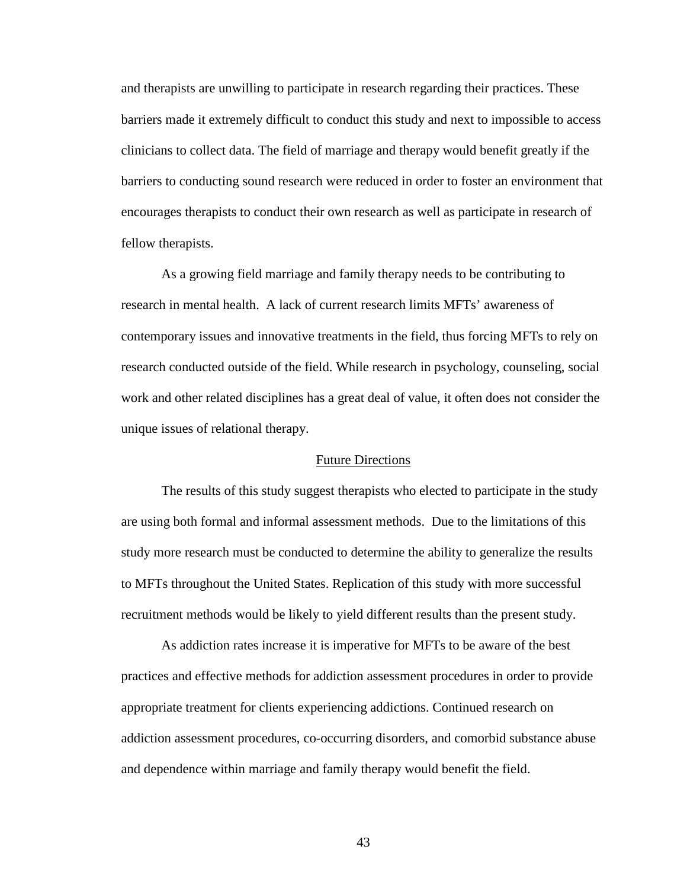and therapists are unwilling to participate in research regarding their practices. These barriers made it extremely difficult to conduct this study and next to impossible to access clinicians to collect data. The field of marriage and therapy would benefit greatly if the barriers to conducting sound research were reduced in order to foster an environment that encourages therapists to conduct their own research as well as participate in research of fellow therapists.

As a growing field marriage and family therapy needs to be contributing to research in mental health. A lack of current research limits MFTs' awareness of contemporary issues and innovative treatments in the field, thus forcing MFTs to rely on research conducted outside of the field. While research in psychology, counseling, social work and other related disciplines has a great deal of value, it often does not consider the unique issues of relational therapy.

#### Future Directions

 The results of this study suggest therapists who elected to participate in the study are using both formal and informal assessment methods. Due to the limitations of this study more research must be conducted to determine the ability to generalize the results to MFTs throughout the United States. Replication of this study with more successful recruitment methods would be likely to yield different results than the present study.

 As addiction rates increase it is imperative for MFTs to be aware of the best practices and effective methods for addiction assessment procedures in order to provide appropriate treatment for clients experiencing addictions. Continued research on addiction assessment procedures, co-occurring disorders, and comorbid substance abuse and dependence within marriage and family therapy would benefit the field.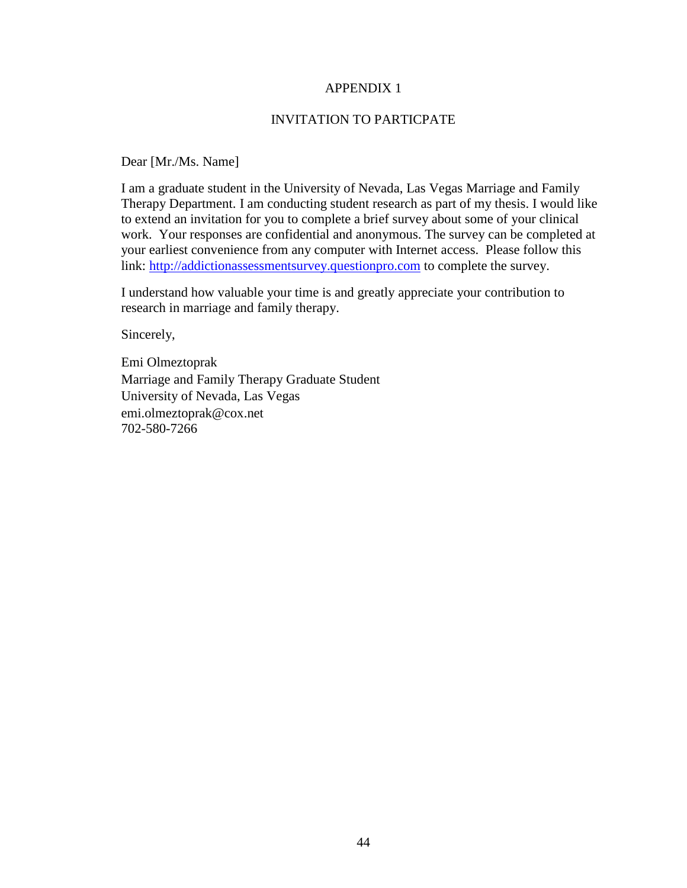# APPENDIX 1

# INVITATION TO PARTICPATE

Dear [Mr./Ms. Name]

I am a graduate student in the University of Nevada, Las Vegas Marriage and Family Therapy Department. I am conducting student research as part of my thesis. I would like to extend an invitation for you to complete a brief survey about some of your clinical work. Your responses are confidential and anonymous. The survey can be completed at your earliest convenience from any computer with Internet access. Please follow this link: http://addictionassessmentsurvey.questionpro.com to complete the survey.

I understand how valuable your time is and greatly appreciate your contribution to research in marriage and family therapy.

Sincerely,

Emi Olmeztoprak Marriage and Family Therapy Graduate Student University of Nevada, Las Vegas emi.olmeztoprak@cox.net 702-580-7266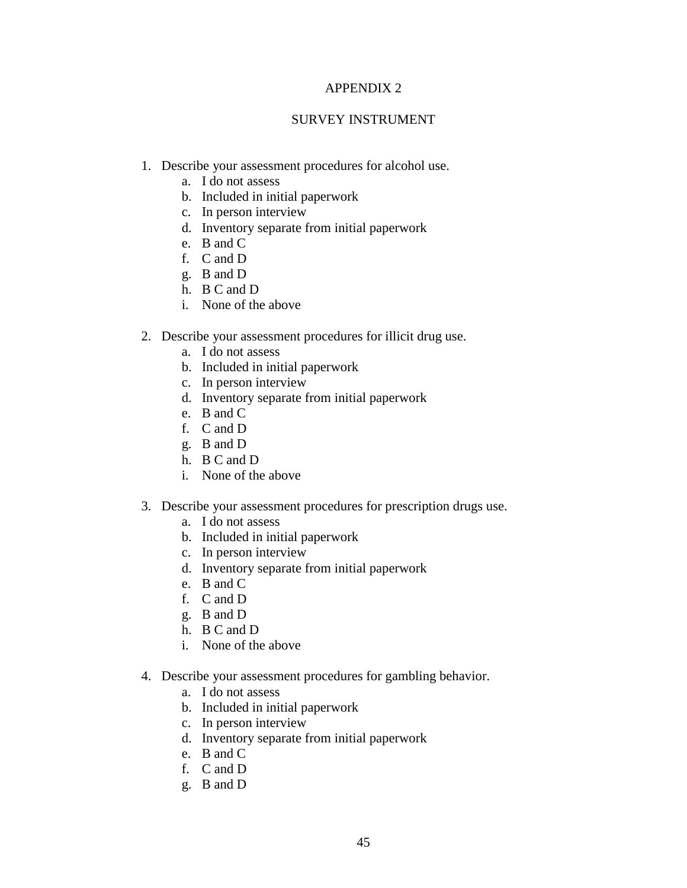# APPENDIX 2

# SURVEY INSTRUMENT

- 1. Describe your assessment procedures for alcohol use.
	- a. I do not assess
	- b. Included in initial paperwork
	- c. In person interview
	- d. Inventory separate from initial paperwork
	- e. B and C
	- f. C and D
	- g. B and D
	- h. B C and D
	- i. None of the above
- 2. Describe your assessment procedures for illicit drug use.
	- a. I do not assess
	- b. Included in initial paperwork
	- c. In person interview
	- d. Inventory separate from initial paperwork
	- e. B and C
	- f. C and D
	- g. B and D
	- h. B C and D
	- i. None of the above
- 3. Describe your assessment procedures for prescription drugs use.
	- a. I do not assess
	- b. Included in initial paperwork
	- c. In person interview
	- d. Inventory separate from initial paperwork
	- e. B and C
	- f. C and D
	- g. B and D
	- h. B C and D
	- i. None of the above
- 4. Describe your assessment procedures for gambling behavior.
	- a. I do not assess
	- b. Included in initial paperwork
	- c. In person interview
	- d. Inventory separate from initial paperwork
	- e. B and C
	- f. C and D
	- g. B and D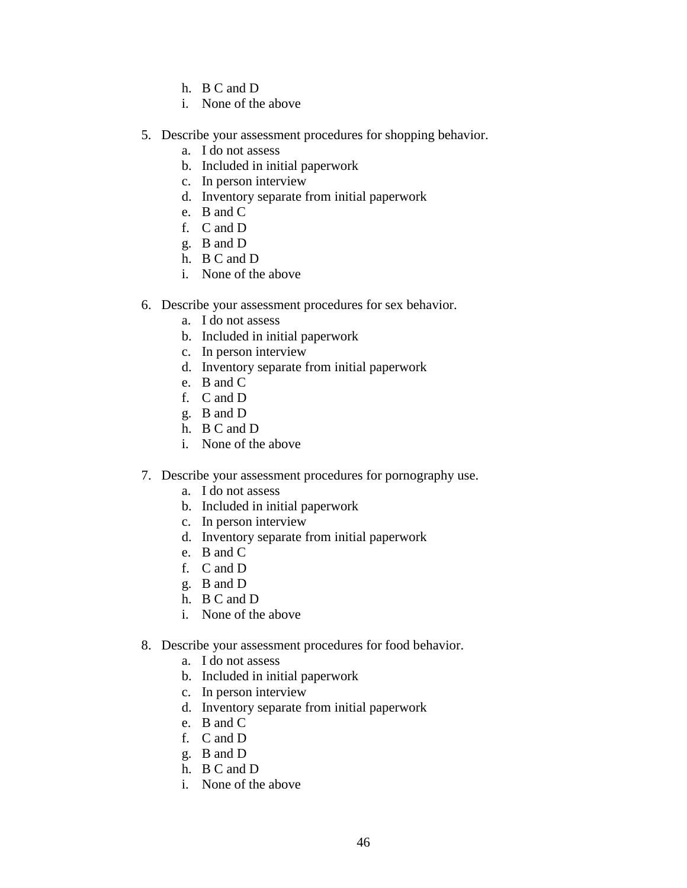- h. B C and D
- i. None of the above
- 5. Describe your assessment procedures for shopping behavior.
	- a. I do not assess
	- b. Included in initial paperwork
	- c. In person interview
	- d. Inventory separate from initial paperwork
	- e. B and C
	- f. C and D
	- g. B and D
	- h. B C and D
	- i. None of the above
- 6. Describe your assessment procedures for sex behavior.
	- a. I do not assess
	- b. Included in initial paperwork
	- c. In person interview
	- d. Inventory separate from initial paperwork
	- e. B and C
	- f. C and D
	- g. B and D
	- h. B C and D
	- i. None of the above
- 7. Describe your assessment procedures for pornography use.
	- a. I do not assess
	- b. Included in initial paperwork
	- c. In person interview
	- d. Inventory separate from initial paperwork
	- e. B and C
	- f. C and D
	- g. B and D
	- h. B C and D
	- i. None of the above
- 8. Describe your assessment procedures for food behavior.
	- a. I do not assess
	- b. Included in initial paperwork
	- c. In person interview
	- d. Inventory separate from initial paperwork
	- e. B and C
	- f. C and D
	- g. B and D
	- h. B C and D
	- i. None of the above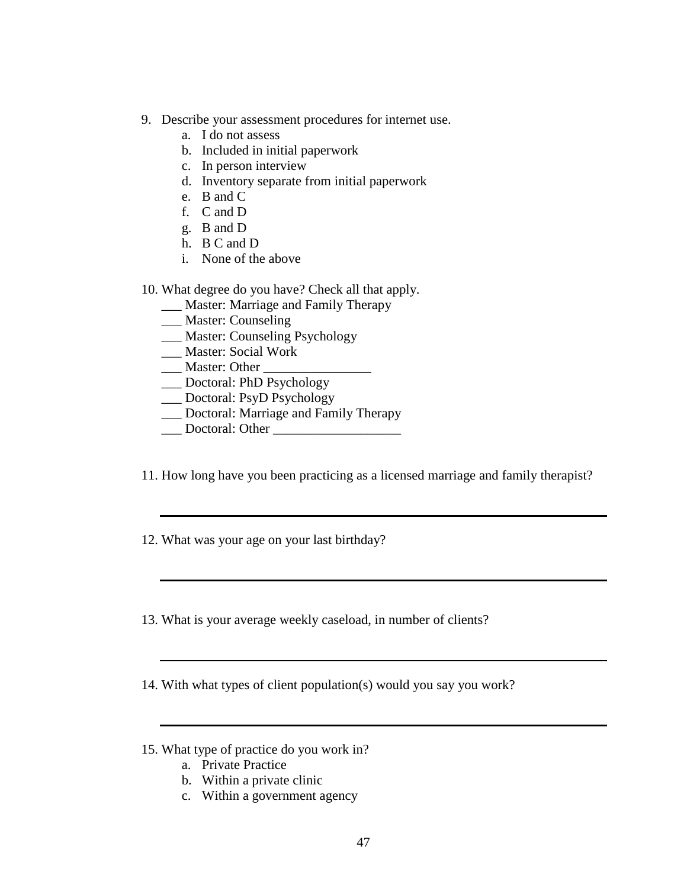- 9. Describe your assessment procedures for internet use.
	- a. I do not assess
	- b. Included in initial paperwork
	- c. In person interview
	- d. Inventory separate from initial paperwork
	- e. B and C
	- f. C and D
	- g. B and D
	- h. B C and D
	- i. None of the above

# 10. What degree do you have? Check all that apply.

- \_\_\_ Master: Marriage and Family Therapy
- \_\_\_ Master: Counseling
- \_\_\_ Master: Counseling Psychology
- \_\_\_ Master: Social Work
- \_\_\_ Master: Other \_\_\_\_\_\_\_\_\_\_\_\_\_\_\_\_
- \_\_\_ Doctoral: PhD Psychology
- \_\_\_ Doctoral: PsyD Psychology
- \_\_\_ Doctoral: Marriage and Family Therapy
- \_\_\_ Doctoral: Other \_\_\_\_\_\_\_\_\_\_\_\_\_\_\_\_\_\_\_
- 11. How long have you been practicing as a licensed marriage and family therapist?
- 12. What was your age on your last birthday?
- 13. What is your average weekly caseload, in number of clients?
- 14. With what types of client population(s) would you say you work?
- 15. What type of practice do you work in?
	- a. Private Practice
	- b. Within a private clinic
	- c. Within a government agency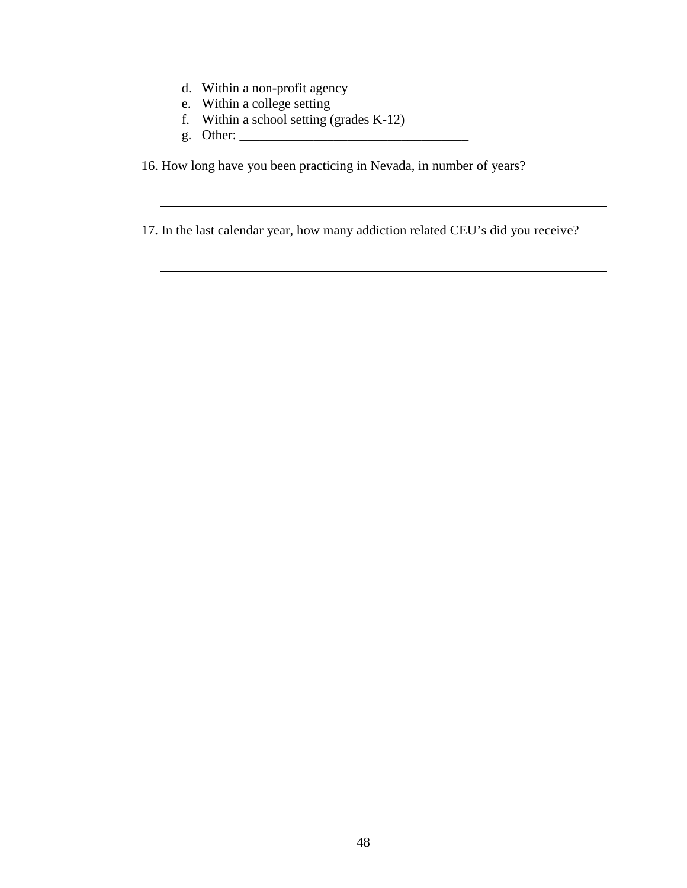- d. Within a non-profit agency
- e. Within a college setting
- f. Within a school setting (grades K-12)
- g. Other:  $\frac{1}{\sqrt{2}}$

16. How long have you been practicing in Nevada, in number of years?

17. In the last calendar year, how many addiction related CEU's did you receive?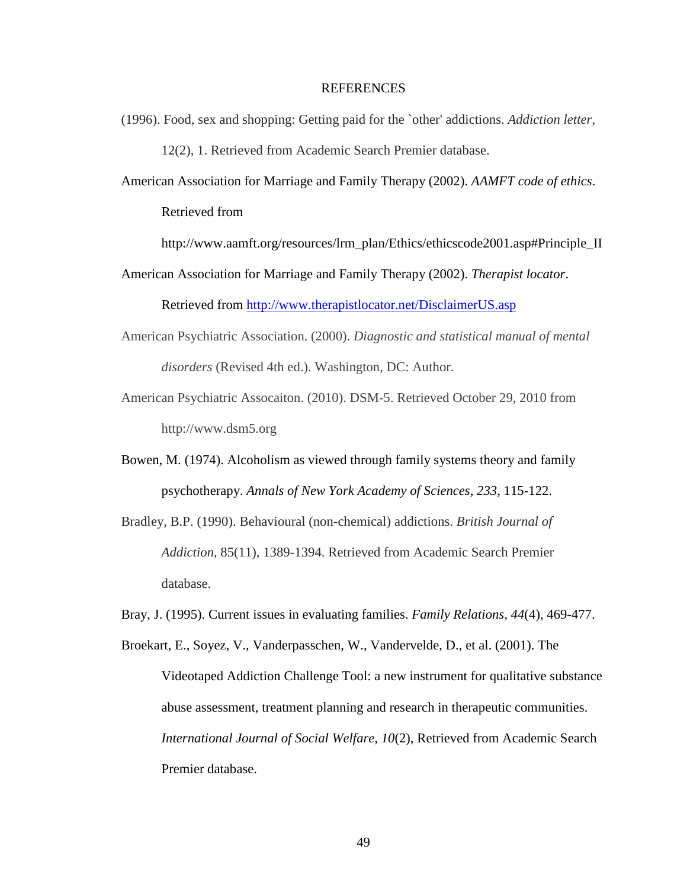#### REFERENCES

(1996). Food, sex and shopping: Getting paid for the `other' addictions. *Addiction letter*,

12(2), 1. Retrieved from Academic Search Premier database.

American Association for Marriage and Family Therapy (2002). *AAMFT code of ethics*.

Retrieved from

http://www.aamft.org/resources/lrm\_plan/Ethics/ethicscode2001.asp#Principle\_II

American Association for Marriage and Family Therapy (2002). *Therapist locator*.

Retrieved from http://www.therapistlocator.net/DisclaimerUS.asp

- American Psychiatric Association. (2000). *Diagnostic and statistical manual of mental disorders* (Revised 4th ed.). Washington, DC: Author.
- American Psychiatric Assocaiton. (2010). DSM-5. Retrieved October 29, 2010 from http://www.dsm5.org
- Bowen, M. (1974). Alcoholism as viewed through family systems theory and family psychotherapy. *Annals of New York Academy of Sciences, 233*, 115-122.
- Bradley, B.P. (1990). Behavioural (non-chemical) addictions. *British Journal of Addiction*, 85(11), 1389-1394. Retrieved from Academic Search Premier database.
- Bray, J. (1995). Current issues in evaluating families. *Family Relations, 44*(4), 469-477.

Broekart, E., Soyez, V., Vanderpasschen, W., Vandervelde, D., et al. (2001). The Videotaped Addiction Challenge Tool: a new instrument for qualitative substance abuse assessment, treatment planning and research in therapeutic communities. *International Journal of Social Welfare, 10*(2), Retrieved from Academic Search Premier database.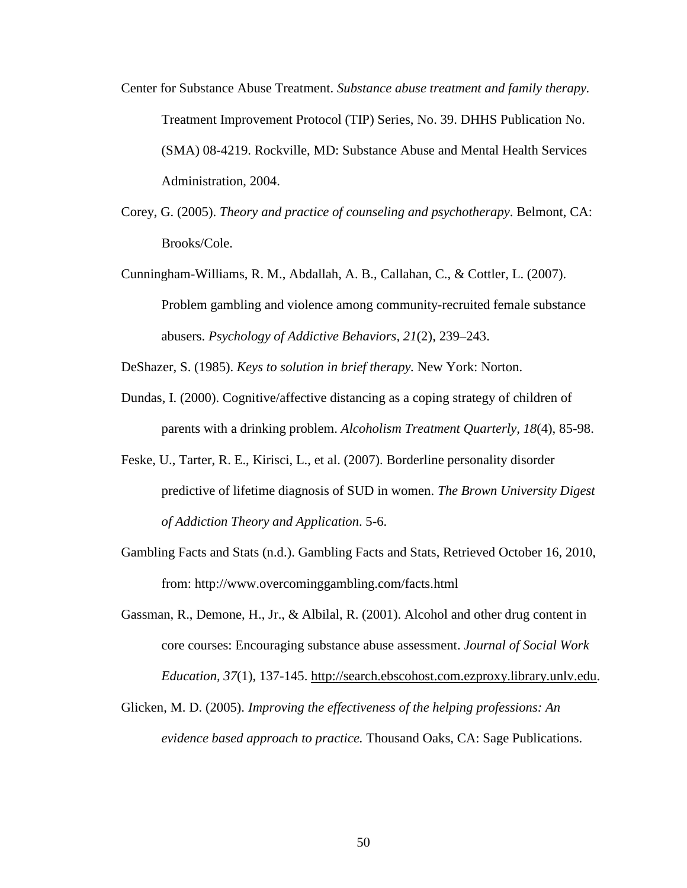- Center for Substance Abuse Treatment. *Substance abuse treatment and family therapy.* Treatment Improvement Protocol (TIP) Series, No. 39. DHHS Publication No. (SMA) 08-4219. Rockville, MD: Substance Abuse and Mental Health Services Administration, 2004.
- Corey, G. (2005). *Theory and practice of counseling and psychotherapy*. Belmont, CA: Brooks/Cole.
- Cunningham-Williams, R. M., Abdallah, A. B., Callahan, C., & Cottler, L. (2007). Problem gambling and violence among community-recruited female substance abusers. *Psychology of Addictive Behaviors, 21*(2), 239–243.

DeShazer, S. (1985). *Keys to solution in brief therapy.* New York: Norton.

- Dundas, I. (2000). Cognitive/affective distancing as a coping strategy of children of parents with a drinking problem. *Alcoholism Treatment Quarterly, 18*(4), 85-98.
- Feske, U., Tarter, R. E., Kirisci, L., et al. (2007). Borderline personality disorder predictive of lifetime diagnosis of SUD in women. *The Brown University Digest of Addiction Theory and Application*. 5-6.
- Gambling Facts and Stats (n.d.). Gambling Facts and Stats, Retrieved October 16, 2010, from: http://www.overcominggambling.com/facts.html
- Gassman, R., Demone, H., Jr., & Albilal, R. (2001). Alcohol and other drug content in core courses: Encouraging substance abuse assessment. *Journal of Social Work Education, 37*(1), 137-145. http://search.ebscohost.com.ezproxy.library.unlv.edu.
- Glicken, M. D. (2005). *Improving the effectiveness of the helping professions: An evidence based approach to practice.* Thousand Oaks, CA: Sage Publications.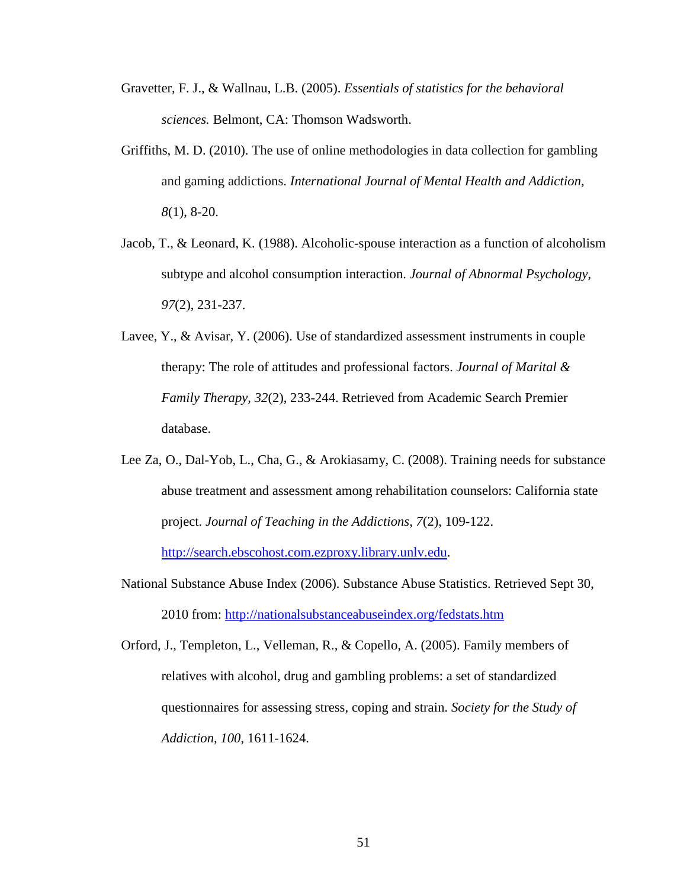- Gravetter, F. J., & Wallnau, L.B. (2005). *Essentials of statistics for the behavioral sciences.* Belmont, CA: Thomson Wadsworth.
- Griffiths, M. D. (2010). The use of online methodologies in data collection for gambling and gaming addictions. *International Journal of Mental Health and Addiction, 8*(1), 8-20.
- Jacob, T., & Leonard, K. (1988). Alcoholic-spouse interaction as a function of alcoholism subtype and alcohol consumption interaction. *Journal of Abnormal Psychology, 97*(2), 231-237.
- Lavee, Y., & Avisar, Y. (2006). Use of standardized assessment instruments in couple therapy: The role of attitudes and professional factors. *Journal of Marital & Family Therapy, 32*(2), 233-244. Retrieved from Academic Search Premier database.
- Lee Za, O., Dal-Yob, L., Cha, G., & Arokiasamy, C. (2008). Training needs for substance abuse treatment and assessment among rehabilitation counselors: California state project. *Journal of Teaching in the Addictions, 7*(2), 109-122.

http://search.ebscohost.com.ezproxy.library.unlv.edu.

National Substance Abuse Index (2006). Substance Abuse Statistics. Retrieved Sept 30, 2010 from: http://nationalsubstanceabuseindex.org/fedstats.htm

Orford, J., Templeton, L., Velleman, R., & Copello, A. (2005). Family members of relatives with alcohol, drug and gambling problems: a set of standardized questionnaires for assessing stress, coping and strain. *Society for the Study of Addiction, 100*, 1611-1624.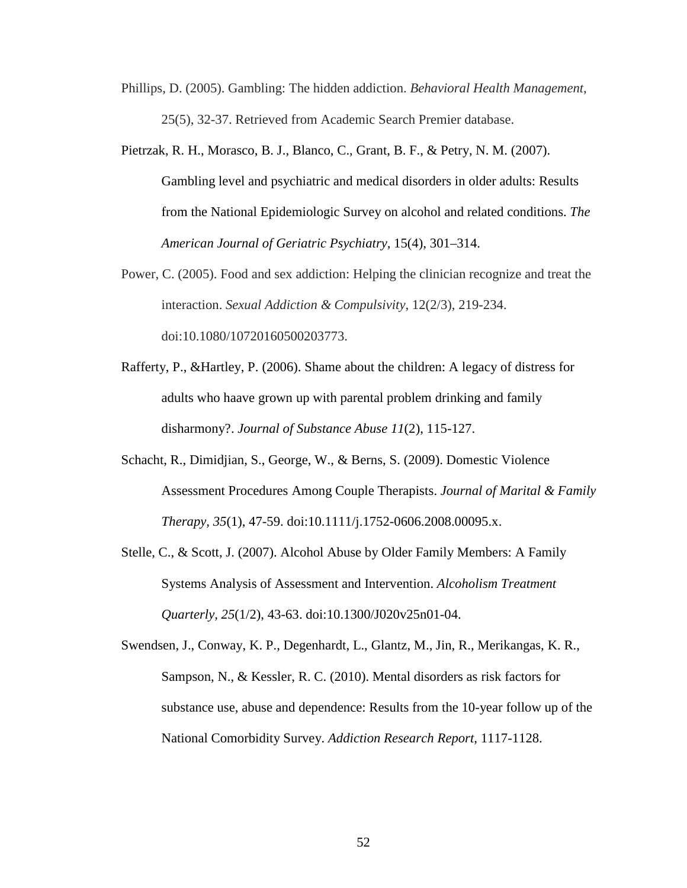- Phillips, D. (2005). Gambling: The hidden addiction. *Behavioral Health Management*, 25(5), 32-37. Retrieved from Academic Search Premier database.
- Pietrzak, R. H., Morasco, B. J., Blanco, C., Grant, B. F., & Petry, N. M. (2007). Gambling level and psychiatric and medical disorders in older adults: Results from the National Epidemiologic Survey on alcohol and related conditions. *The American Journal of Geriatric Psychiatry,* 15(4), 301–314.
- Power, C. (2005). Food and sex addiction: Helping the clinician recognize and treat the interaction. *Sexual Addiction & Compulsivity*, 12(2/3), 219-234. doi:10.1080/10720160500203773.
- Rafferty, P., &Hartley, P. (2006). Shame about the children: A legacy of distress for adults who haave grown up with parental problem drinking and family disharmony?. *Journal of Substance Abuse 11*(2), 115-127.
- Schacht, R., Dimidjian, S., George, W., & Berns, S. (2009). Domestic Violence Assessment Procedures Among Couple Therapists. *Journal of Marital & Family Therapy, 35*(1), 47-59. doi:10.1111/j.1752-0606.2008.00095.x.
- Stelle, C., & Scott, J. (2007). Alcohol Abuse by Older Family Members: A Family Systems Analysis of Assessment and Intervention. *Alcoholism Treatment Quarterly, 25*(1/2), 43-63. doi:10.1300/J020v25n01-04.
- Swendsen, J., Conway, K. P., Degenhardt, L., Glantz, M., Jin, R., Merikangas, K. R., Sampson, N., & Kessler, R. C. (2010). Mental disorders as risk factors for substance use, abuse and dependence: Results from the 10-year follow up of the National Comorbidity Survey. *Addiction Research Report*, 1117-1128.